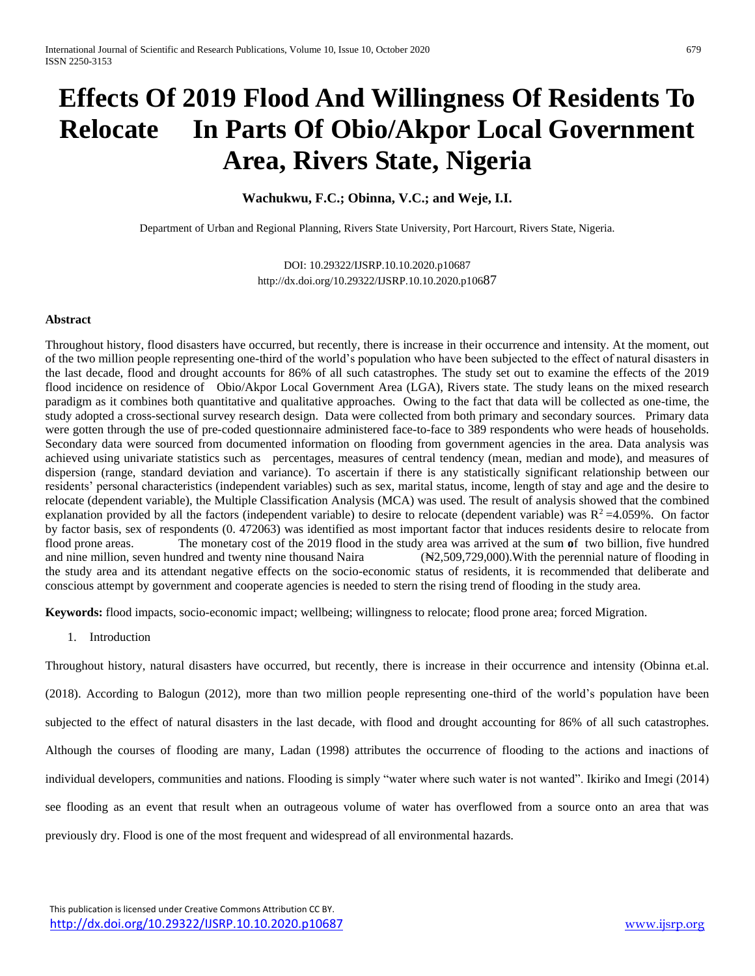# **Effects Of 2019 Flood And Willingness Of Residents To Relocate In Parts Of Obio/Akpor Local Government Area, Rivers State, Nigeria**

# **Wachukwu, F.C.; Obinna, V.C.; and Weje, I.I.**

Department of Urban and Regional Planning, Rivers State University, Port Harcourt, Rivers State, Nigeria.

DOI: 10.29322/IJSRP.10.10.2020.p10687 [http://dx.doi.org/10.29322/IJSRP.10.10.2020.p106](http://dx.doi.org/10.29322/IJSRP.10.10.2020.p106XX)87

# **Abstract**

Throughout history, flood disasters have occurred, but recently, there is increase in their occurrence and intensity. At the moment, out of the two million people representing one-third of the world's population who have been subjected to the effect of natural disasters in the last decade, flood and drought accounts for 86% of all such catastrophes. The study set out to examine the effects of the 2019 flood incidence on residence of Obio/Akpor Local Government Area (LGA), Rivers state. The study leans on the mixed research paradigm as it combines both quantitative and qualitative approaches. Owing to the fact that data will be collected as one-time, the study adopted a cross-sectional survey research design. Data were collected from both primary and secondary sources. Primary data were gotten through the use of pre-coded questionnaire administered face-to-face to 389 respondents who were heads of households. Secondary data were sourced from documented information on flooding from government agencies in the area. Data analysis was achieved using univariate statistics such as percentages, measures of central tendency (mean, median and mode), and measures of dispersion (range, standard deviation and variance). To ascertain if there is any statistically significant relationship between our residents' personal characteristics (independent variables) such as sex, marital status, income, length of stay and age and the desire to relocate (dependent variable), the Multiple Classification Analysis (MCA) was used. The result of analysis showed that the combined explanation provided by all the factors (independent variable) to desire to relocate (dependent variable) was  $R^2 = 4.059\%$ . On factor by factor basis, sex of respondents (0. 472063) was identified as most important factor that induces residents desire to relocate from flood prone areas. The monetary cost of the 2019 flood in the study area was arrived at the sum **o**f two billion, five hundred and nine million, seven hundred and twenty nine thousand Naira (₦2,509,729,000).With the perennial nature of flooding in the study area and its attendant negative effects on the socio-economic status of residents, it is recommended that deliberate and conscious attempt by government and cooperate agencies is needed to stern the rising trend of flooding in the study area.

**Keywords:** flood impacts, socio-economic impact; wellbeing; willingness to relocate; flood prone area; forced Migration.

1. Introduction

Throughout history, natural disasters have occurred, but recently, there is increase in their occurrence and intensity (Obinna et.al. (2018). According to Balogun (2012), more than two million people representing one-third of the world's population have been subjected to the effect of natural disasters in the last decade, with flood and drought accounting for 86% of all such catastrophes. Although the courses of flooding are many, Ladan (1998) attributes the occurrence of flooding to the actions and inactions of individual developers, communities and nations. Flooding is simply "water where such water is not wanted". Ikiriko and Imegi (2014) see flooding as an event that result when an outrageous volume of water has overflowed from a source onto an area that was previously dry. Flood is one of the most frequent and widespread of all environmental hazards.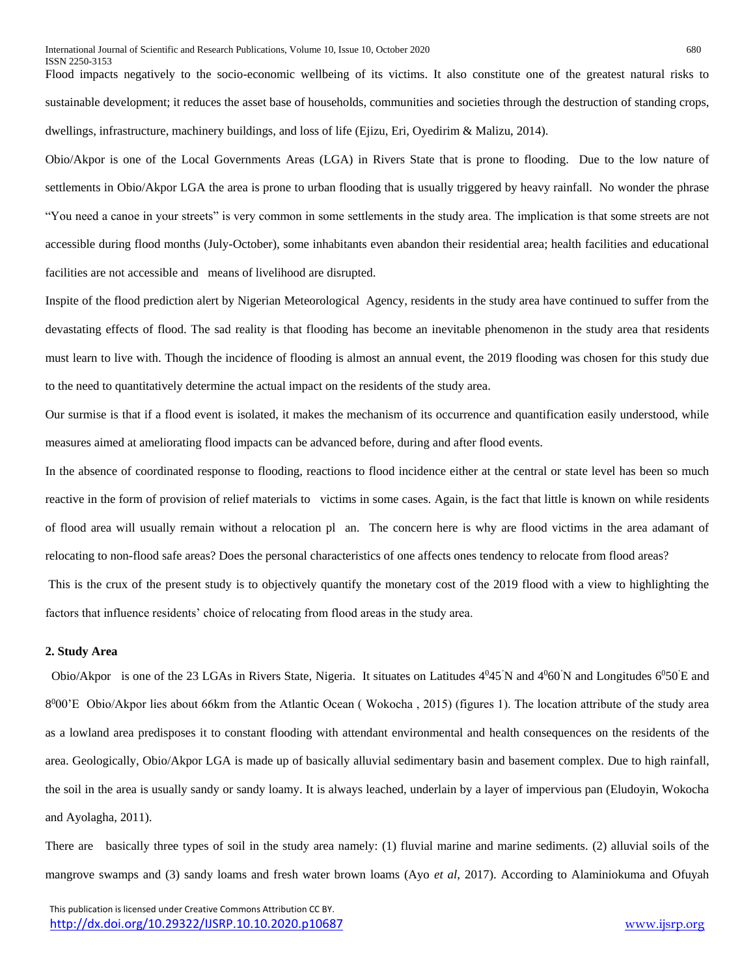Flood impacts negatively to the socio-economic wellbeing of its victims. It also constitute one of the greatest natural risks to sustainable development; it reduces the asset base of households, communities and societies through the destruction of standing crops, dwellings, infrastructure, machinery buildings, and loss of life (Ejizu, Eri, Oyedirim & Malizu, 2014).

Obio/Akpor is one of the Local Governments Areas (LGA) in Rivers State that is prone to flooding. Due to the low nature of settlements in Obio/Akpor LGA the area is prone to urban flooding that is usually triggered by heavy rainfall. No wonder the phrase "You need a canoe in your streets" is very common in some settlements in the study area. The implication is that some streets are not accessible during flood months (July-October), some inhabitants even abandon their residential area; health facilities and educational facilities are not accessible and means of livelihood are disrupted.

Inspite of the flood prediction alert by Nigerian Meteorological Agency, residents in the study area have continued to suffer from the devastating effects of flood. The sad reality is that flooding has become an inevitable phenomenon in the study area that residents must learn to live with. Though the incidence of flooding is almost an annual event, the 2019 flooding was chosen for this study due to the need to quantitatively determine the actual impact on the residents of the study area.

Our surmise is that if a flood event is isolated, it makes the mechanism of its occurrence and quantification easily understood, while measures aimed at ameliorating flood impacts can be advanced before, during and after flood events.

In the absence of coordinated response to flooding, reactions to flood incidence either at the central or state level has been so much reactive in the form of provision of relief materials to victims in some cases. Again, is the fact that little is known on while residents of flood area will usually remain without a relocation pl an. The concern here is why are flood victims in the area adamant of relocating to non-flood safe areas? Does the personal characteristics of one affects ones tendency to relocate from flood areas? This is the crux of the present study is to objectively quantify the monetary cost of the 2019 flood with a view to highlighting the

#### **2. Study Area**

Obio/Akpor is one of the 23 LGAs in Rivers State, Nigeria. It situates on Latitudes  $4^045'N$  and  $4^060'N$  and Longitudes  $6^050'E$  and 8º00'E Obio/Akpor lies about 66km from the Atlantic Ocean (Wokocha, 2015) (figures 1). The location attribute of the study area as a lowland area predisposes it to constant flooding with attendant environmental and health consequences on the residents of the area. Geologically, Obio/Akpor LGA is made up of basically alluvial sedimentary basin and basement complex. Due to high rainfall, the soil in the area is usually sandy or sandy loamy. It is always leached, underlain by a layer of impervious pan (Eludoyin, Wokocha and Ayolagha, 2011).

There are basically three types of soil in the study area namely: (1) fluvial marine and marine sediments. (2) alluvial soils of the mangrove swamps and (3) sandy loams and fresh water brown loams (Ayo *et al*, 2017). According to Alaminiokuma and Ofuyah

factors that influence residents' choice of relocating from flood areas in the study area.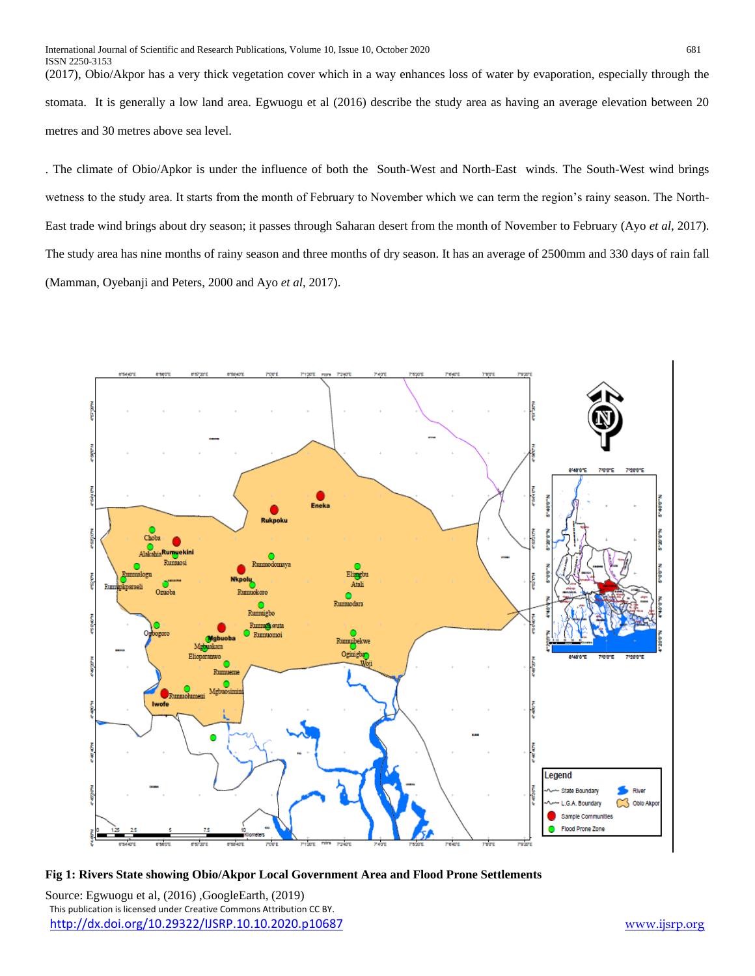ISSN 2250-3153 (2017), Obio/Akpor has a very thick vegetation cover which in a way enhances loss of water by evaporation, especially through the stomata. It is generally a low land area. Egwuogu et al (2016) describe the study area as having an average elevation between 20 metres and 30 metres above sea level.

. The climate of Obio/Apkor is under the influence of both the South-West and North-East winds. The South-West wind brings wetness to the study area. It starts from the month of February to November which we can term the region's rainy season. The North-East trade wind brings about dry season; it passes through Saharan desert from the month of November to February (Ayo *et al*, 2017). The study area has nine months of rainy season and three months of dry season. It has an average of 2500mm and 330 days of rain fall (Mamman, Oyebanji and Peters, 2000 and Ayo *et al*, 2017).



## **Fig 1: Rivers State showing Obio/Akpor Local Government Area and Flood Prone Settlements**

 This publication is licensed under Creative Commons Attribution CC BY. <http://dx.doi.org/10.29322/IJSRP.10.10.2020.p10687> [www.ijsrp.org](http://ijsrp.org/) Source: Egwuogu et al, (2016) ,GoogleEarth, (2019)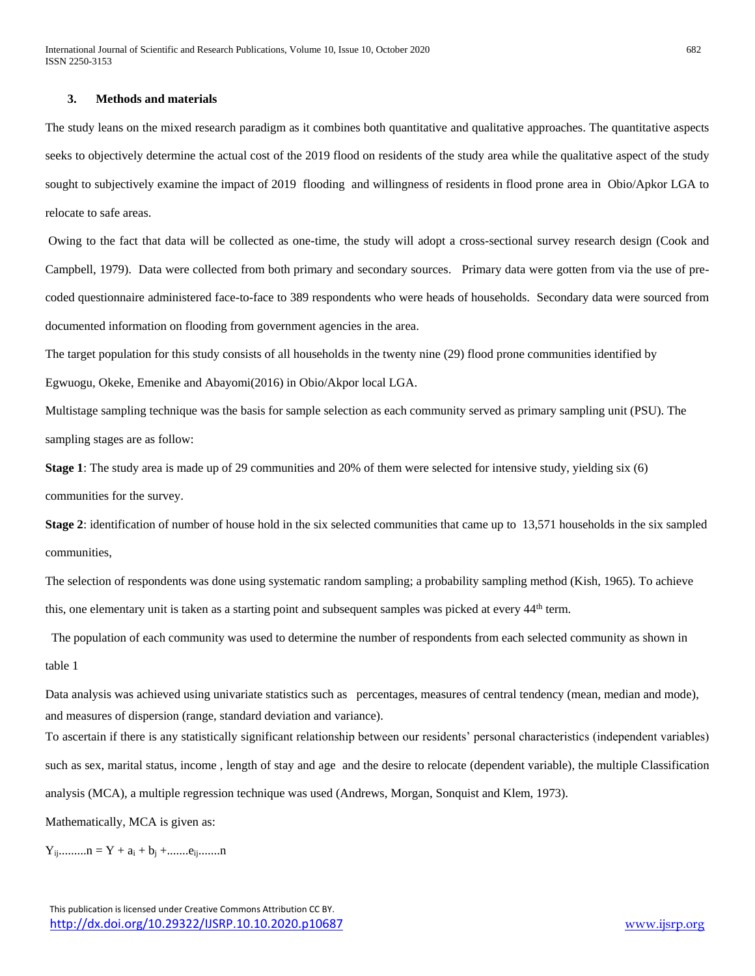### **3. Methods and materials**

The study leans on the mixed research paradigm as it combines both quantitative and qualitative approaches. The quantitative aspects seeks to objectively determine the actual cost of the 2019 flood on residents of the study area while the qualitative aspect of the study sought to subjectively examine the impact of 2019 flooding and willingness of residents in flood prone area in Obio/Apkor LGA to relocate to safe areas.

Owing to the fact that data will be collected as one-time, the study will adopt a cross-sectional survey research design (Cook and Campbell, 1979). Data were collected from both primary and secondary sources. Primary data were gotten from via the use of precoded questionnaire administered face-to-face to 389 respondents who were heads of households. Secondary data were sourced from documented information on flooding from government agencies in the area.

The target population for this study consists of all households in the twenty nine (29) flood prone communities identified by

Egwuogu, Okeke, Emenike and Abayomi(2016) in Obio/Akpor local LGA.

Multistage sampling technique was the basis for sample selection as each community served as primary sampling unit (PSU). The sampling stages are as follow:

**Stage 1**: The study area is made up of 29 communities and 20% of them were selected for intensive study, yielding six (6) communities for the survey.

**Stage 2**: identification of number of house hold in the six selected communities that came up to 13,571 households in the six sampled communities,

The selection of respondents was done using systematic random sampling; a probability sampling method (Kish, 1965). To achieve this, one elementary unit is taken as a starting point and subsequent samples was picked at every 44<sup>th</sup> term.

 The population of each community was used to determine the number of respondents from each selected community as shown in table 1

Data analysis was achieved using univariate statistics such as percentages, measures of central tendency (mean, median and mode), and measures of dispersion (range, standard deviation and variance).

To ascertain if there is any statistically significant relationship between our residents' personal characteristics (independent variables) such as sex, marital status, income , length of stay and age and the desire to relocate (dependent variable), the multiple Classification analysis (MCA), a multiple regression technique was used (Andrews, Morgan, Sonquist and Klem, 1973).

Mathematically, MCA is given as:

Yij.........n = Y + a<sup>i</sup> + b<sup>j</sup> +.......eij.......n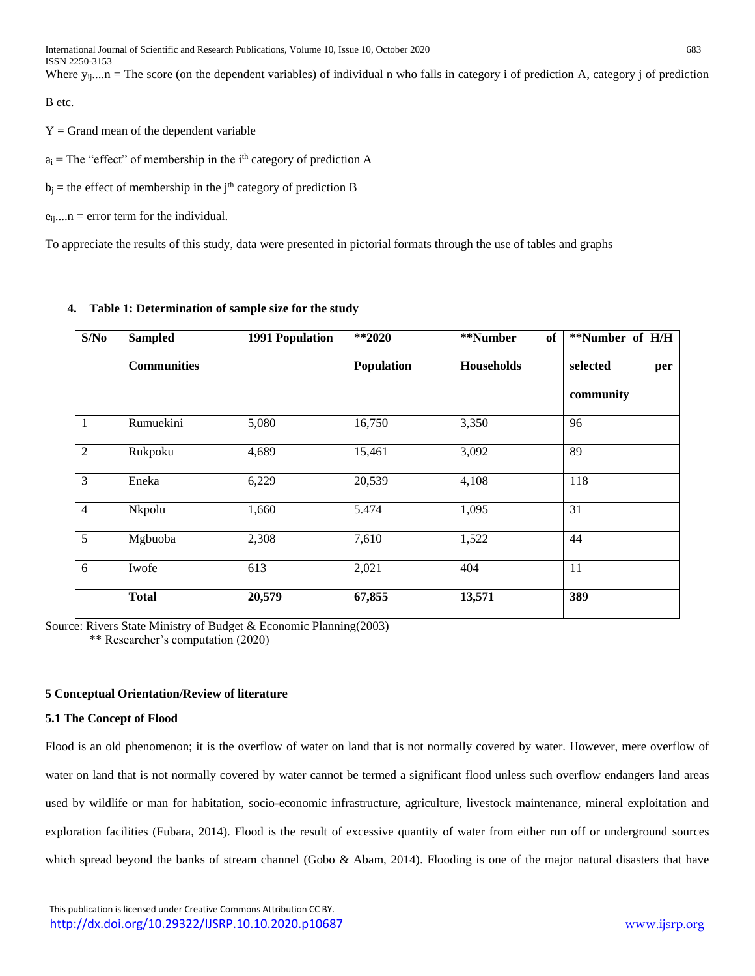International Journal of Scientific and Research Publications, Volume 10, Issue 10, October 2020 683 ISSN 2250-3153

Where  $y_{ij}$ ....n = The score (on the dependent variables) of individual n who falls in category i of prediction A, category j of prediction

B etc.

 $Y = Grand$  mean of the dependent variable

 $a_i$  = The "effect" of membership in the i<sup>th</sup> category of prediction A

 $b_i$  = the effect of membership in the j<sup>th</sup> category of prediction B

 $e_{ij}$ ....n = error term for the individual.

To appreciate the results of this study, data were presented in pictorial formats through the use of tables and graphs

# **4. Table 1: Determination of sample size for the study**

| S/No           | <b>Sampled</b>     | <b>1991 Population</b> | $*$ *2020  | **Number<br>of    | **Number of H/H |
|----------------|--------------------|------------------------|------------|-------------------|-----------------|
|                | <b>Communities</b> |                        | Population | <b>Households</b> | selected<br>per |
|                |                    |                        |            |                   | community       |
| $\mathbf{1}$   | Rumuekini          | 5,080                  | 16,750     | 3,350             | 96              |
| $\overline{2}$ | Rukpoku            | 4,689                  | 15,461     | 3,092             | 89              |
| 3              | Eneka              | 6,229                  | 20,539     | 4,108             | 118             |
| $\overline{4}$ | Nkpolu             | 1,660                  | 5.474      | 1,095             | 31              |
| 5              | Mgbuoba            | 2,308                  | 7,610      | 1,522             | 44              |
| 6              | Iwofe              | 613                    | 2,021      | 404               | 11              |
|                | <b>Total</b>       | 20,579                 | 67,855     | 13,571            | 389             |

Source: Rivers State Ministry of Budget & Economic Planning(2003)

\*\* Researcher's computation (2020)

## **5 Conceptual Orientation/Review of literature**

## **5.1 The Concept of Flood**

Flood is an old phenomenon; it is the overflow of water on land that is not normally covered by water. However, mere overflow of water on land that is not normally covered by water cannot be termed a significant flood unless such overflow endangers land areas used by wildlife or man for habitation, socio-economic infrastructure, agriculture, livestock maintenance, mineral exploitation and exploration facilities (Fubara, 2014). Flood is the result of excessive quantity of water from either run off or underground sources which spread beyond the banks of stream channel (Gobo & Abam, 2014). Flooding is one of the major natural disasters that have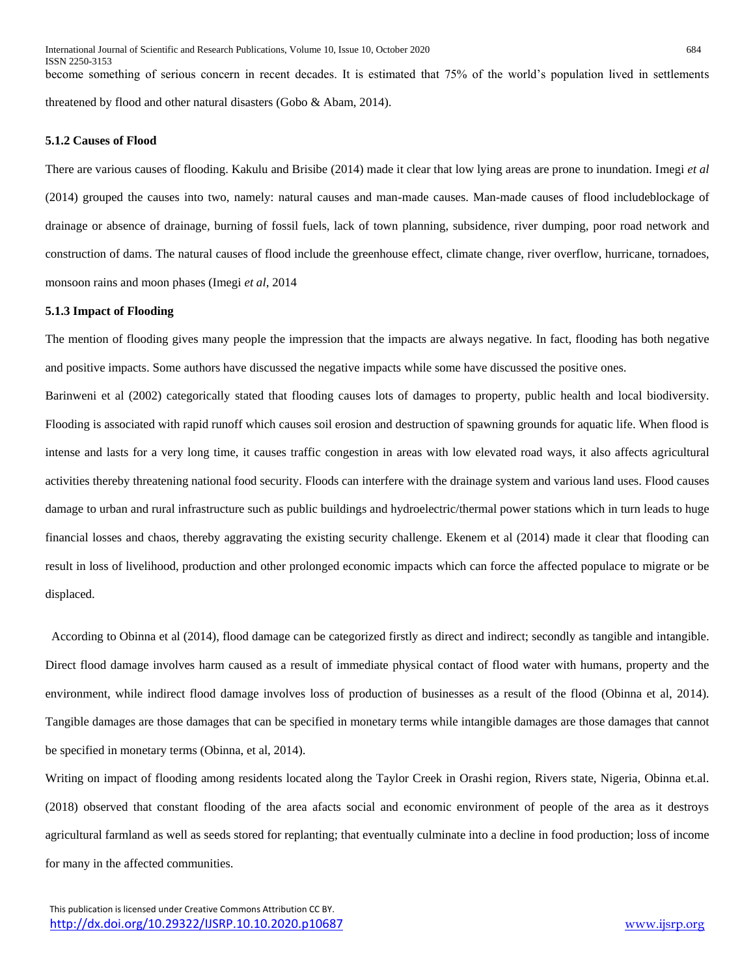become something of serious concern in recent decades. It is estimated that 75% of the world's population lived in settlements threatened by flood and other natural disasters (Gobo & Abam, 2014).

## **5.1.2 Causes of Flood**

There are various causes of flooding. Kakulu and Brisibe (2014) made it clear that low lying areas are prone to inundation. Imegi *et al* (2014) grouped the causes into two, namely: natural causes and man-made causes. Man-made causes of flood includeblockage of drainage or absence of drainage, burning of fossil fuels, lack of town planning, subsidence, river dumping, poor road network and construction of dams. The natural causes of flood include the greenhouse effect, climate change, river overflow, hurricane, tornadoes, monsoon rains and moon phases (Imegi *et al*, 2014

## **5.1.3 Impact of Flooding**

The mention of flooding gives many people the impression that the impacts are always negative. In fact, flooding has both negative and positive impacts. Some authors have discussed the negative impacts while some have discussed the positive ones.

Barinweni et al (2002) categorically stated that flooding causes lots of damages to property, public health and local biodiversity. Flooding is associated with rapid runoff which causes soil erosion and destruction of spawning grounds for aquatic life. When flood is intense and lasts for a very long time, it causes traffic congestion in areas with low elevated road ways, it also affects agricultural activities thereby threatening national food security. Floods can interfere with the drainage system and various land uses. Flood causes damage to urban and rural infrastructure such as public buildings and hydroelectric/thermal power stations which in turn leads to huge financial losses and chaos, thereby aggravating the existing security challenge. Ekenem et al (2014) made it clear that flooding can result in loss of livelihood, production and other prolonged economic impacts which can force the affected populace to migrate or be displaced.

 According to Obinna et al (2014), flood damage can be categorized firstly as direct and indirect; secondly as tangible and intangible. Direct flood damage involves harm caused as a result of immediate physical contact of flood water with humans, property and the environment, while indirect flood damage involves loss of production of businesses as a result of the flood (Obinna et al, 2014). Tangible damages are those damages that can be specified in monetary terms while intangible damages are those damages that cannot be specified in monetary terms (Obinna, et al, 2014).

Writing on impact of flooding among residents located along the Taylor Creek in Orashi region, Rivers state, Nigeria, Obinna et.al. (2018) observed that constant flooding of the area afacts social and economic environment of people of the area as it destroys agricultural farmland as well as seeds stored for replanting; that eventually culminate into a decline in food production; loss of income for many in the affected communities.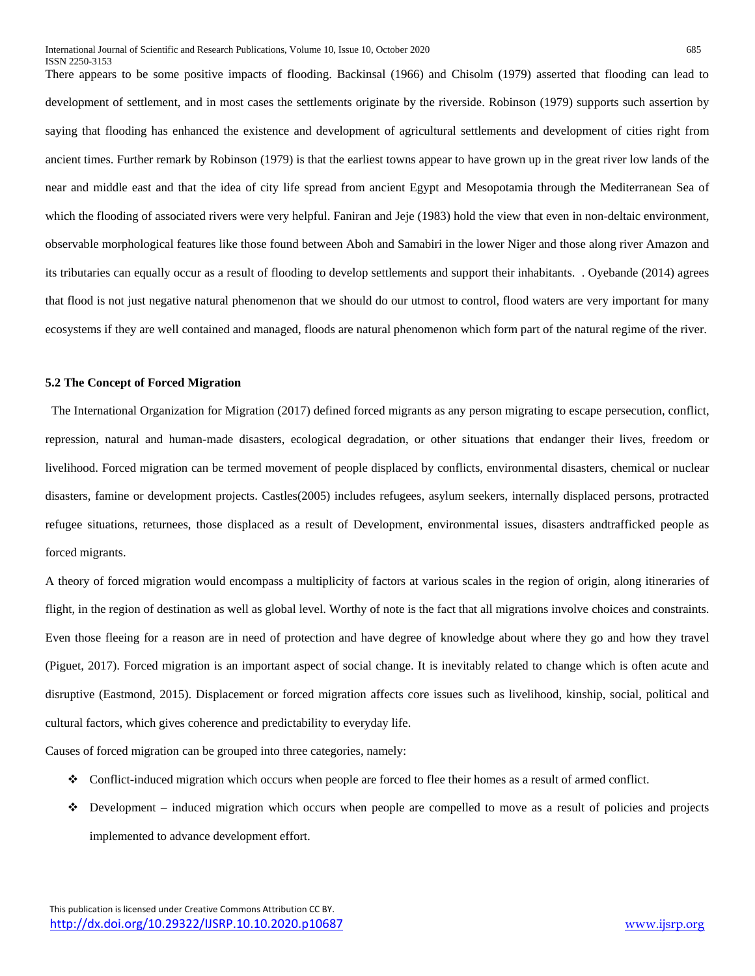There appears to be some positive impacts of flooding. Backinsal (1966) and Chisolm (1979) asserted that flooding can lead to development of settlement, and in most cases the settlements originate by the riverside. Robinson (1979) supports such assertion by saying that flooding has enhanced the existence and development of agricultural settlements and development of cities right from ancient times. Further remark by Robinson (1979) is that the earliest towns appear to have grown up in the great river low lands of the near and middle east and that the idea of city life spread from ancient Egypt and Mesopotamia through the Mediterranean Sea of which the flooding of associated rivers were very helpful. Faniran and Jeje (1983) hold the view that even in non-deltaic environment, observable morphological features like those found between Aboh and Samabiri in the lower Niger and those along river Amazon and its tributaries can equally occur as a result of flooding to develop settlements and support their inhabitants. . Oyebande (2014) agrees that flood is not just negative natural phenomenon that we should do our utmost to control, flood waters are very important for many ecosystems if they are well contained and managed, floods are natural phenomenon which form part of the natural regime of the river.

#### **5.2 The Concept of Forced Migration**

 The International Organization for Migration (2017) defined forced migrants as any person migrating to escape persecution, conflict, repression, natural and human-made disasters, ecological degradation, or other situations that endanger their lives, freedom or livelihood. Forced migration can be termed movement of people displaced by conflicts, environmental disasters, chemical or nuclear disasters, famine or development projects. Castles(2005) includes refugees, asylum seekers, internally displaced persons, protracted refugee situations, returnees, those displaced as a result of Development, environmental issues, disasters andtrafficked people as forced migrants.

A theory of forced migration would encompass a multiplicity of factors at various scales in the region of origin, along itineraries of flight, in the region of destination as well as global level. Worthy of note is the fact that all migrations involve choices and constraints. Even those fleeing for a reason are in need of protection and have degree of knowledge about where they go and how they travel (Piguet, 2017). Forced migration is an important aspect of social change. It is inevitably related to change which is often acute and disruptive (Eastmond, 2015). Displacement or forced migration affects core issues such as livelihood, kinship, social, political and cultural factors, which gives coherence and predictability to everyday life.

Causes of forced migration can be grouped into three categories, namely:

- Conflict-induced migration which occurs when people are forced to flee their homes as a result of armed conflict.
- $\bullet$  Development induced migration which occurs when people are compelled to move as a result of policies and projects implemented to advance development effort.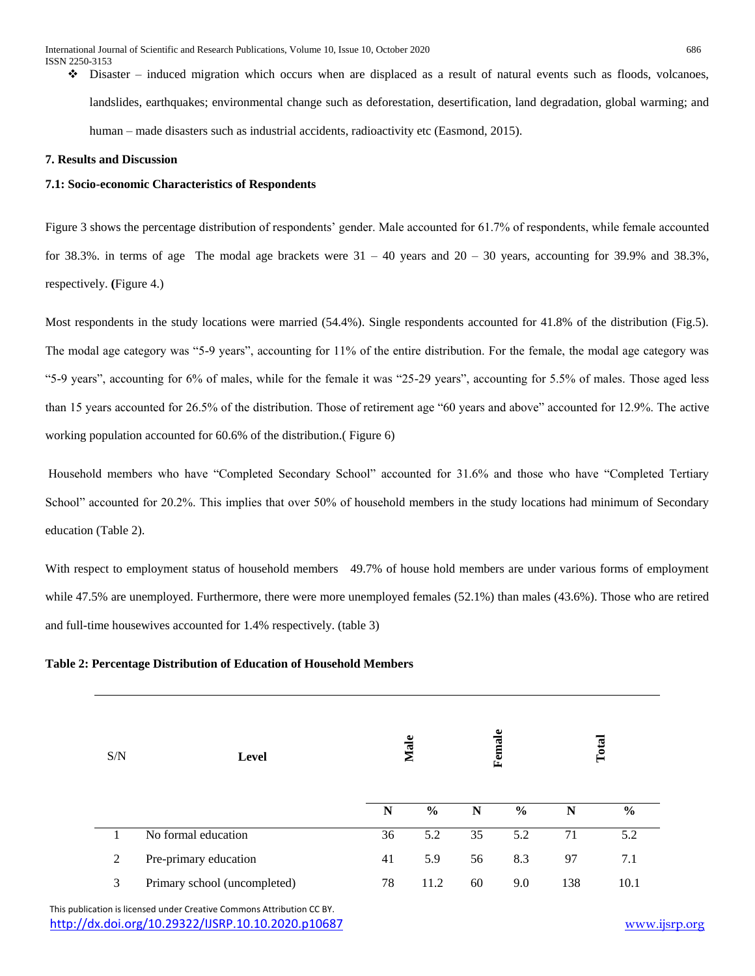$\bullet$  Disaster – induced migration which occurs when are displaced as a result of natural events such as floods, volcanoes, landslides, earthquakes; environmental change such as deforestation, desertification, land degradation, global warming; and human – made disasters such as industrial accidents, radioactivity etc (Easmond, 2015).

## **7. Results and Discussion**

## **7.1: Socio-economic Characteristics of Respondents**

Figure 3 shows the percentage distribution of respondents' gender. Male accounted for 61.7% of respondents, while female accounted for 38.3%. in terms of age The modal age brackets were  $31 - 40$  years and  $20 - 30$  years, accounting for 39.9% and 38.3%, respectively. **(**Figure 4.)

Most respondents in the study locations were married (54.4%). Single respondents accounted for 41.8% of the distribution (Fig.5). The modal age category was "5-9 years", accounting for 11% of the entire distribution. For the female, the modal age category was "5-9 years", accounting for 6% of males, while for the female it was "25-29 years", accounting for 5.5% of males. Those aged less than 15 years accounted for 26.5% of the distribution. Those of retirement age "60 years and above" accounted for 12.9%. The active working population accounted for 60.6% of the distribution.( Figure 6)

Household members who have "Completed Secondary School" accounted for 31.6% and those who have "Completed Tertiary School" accounted for 20.2%. This implies that over 50% of household members in the study locations had minimum of Secondary education (Table 2).

With respect to employment status of household members 49.7% of house hold members are under various forms of employment while 47.5% are unemployed. Furthermore, there were more unemployed females (52.1%) than males (43.6%). Those who are retired and full-time housewives accounted for 1.4% respectively. (table 3)

## **Table 2: Percentage Distribution of Education of Household Members**

| S/N | Level                        | Male |               | Female |               | Total |               |
|-----|------------------------------|------|---------------|--------|---------------|-------|---------------|
|     |                              | N    | $\frac{6}{6}$ | N      | $\frac{0}{0}$ | N     | $\frac{0}{0}$ |
| 1   | No formal education          | 36   | 5.2           | 35     | 5.2           | 71    | 5.2           |
| 2   | Pre-primary education        | 41   | 5.9           | 56     | 8.3           | 97    | 7.1           |
| 3   | Primary school (uncompleted) | 78   | 11.2          | 60     | 9.0           | 138   | 10.1          |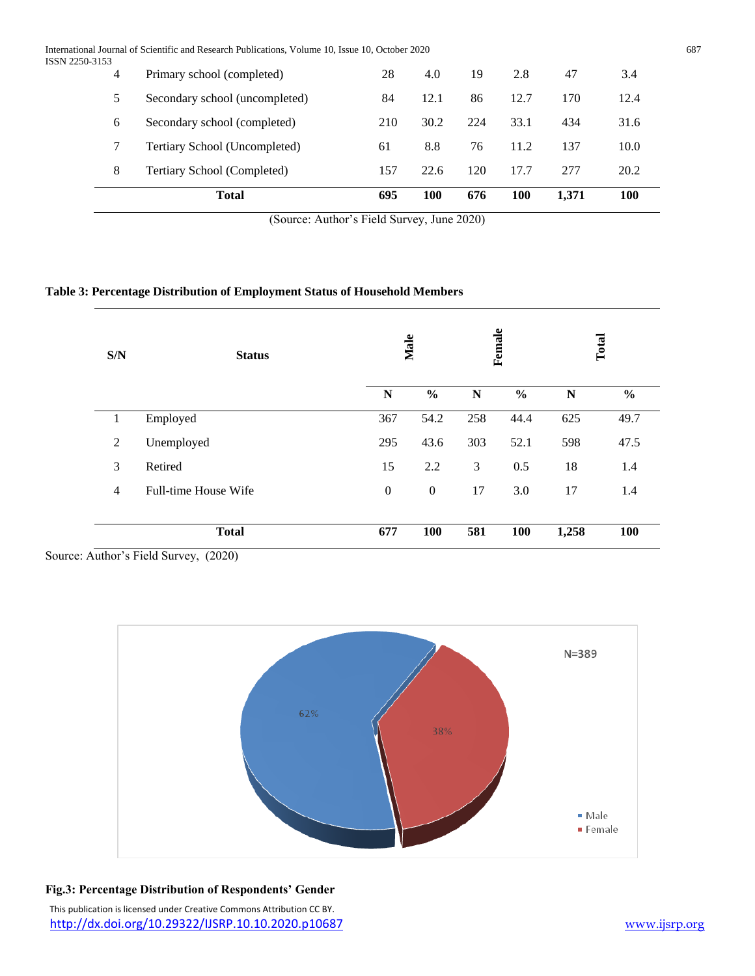International Journal of Scientific and Research Publications, Volume 10, Issue 10, October 2020 687 ISSN 2250-31

|         | <b>Total</b>                   | 695 | 100  | 676 | 100  | 1,371 | <b>100</b> |
|---------|--------------------------------|-----|------|-----|------|-------|------------|
| 8       | Tertiary School (Completed)    | 157 | 22.6 | 120 | 17.7 | 277   | 20.2       |
|         | Tertiary School (Uncompleted)  | 61  | 8.8  | 76  | 11.2 | 137   | 10.0       |
| 6       | Secondary school (completed)   | 210 | 30.2 | 224 | 33.1 | 434   | 31.6       |
| 5.      | Secondary school (uncompleted) | 84  | 12.1 | 86  | 12.7 | 170   | 12.4       |
| 53<br>4 | Primary school (completed)     | 28  | 4.0  | 19  | 2.8  | 47    | 3.4        |

(Source: Author's Field Survey, June 2020)

# **Table 3: Percentage Distribution of Employment Status of Household Members**

| S/N            | <b>Status</b>        | Male             |                  |     | Female        |       | Total         |
|----------------|----------------------|------------------|------------------|-----|---------------|-------|---------------|
|                |                      | N                | $\frac{0}{0}$    | N   | $\frac{0}{0}$ | N     | $\frac{0}{0}$ |
| $\mathbf{1}$   | Employed             | 367              | 54.2             | 258 | 44.4          | 625   | 49.7          |
| $\overline{2}$ | Unemployed           | 295              | 43.6             | 303 | 52.1          | 598   | 47.5          |
| 3              | Retired              | 15               | 2.2              | 3   | 0.5           | 18    | 1.4           |
| $\overline{4}$ | Full-time House Wife | $\boldsymbol{0}$ | $\boldsymbol{0}$ | 17  | 3.0           | 17    | 1.4           |
|                |                      |                  |                  |     |               |       |               |
|                | <b>Total</b>         | 677              | 100              | 581 | 100           | 1,258 | 100           |

Source: Author's Field Survey, (2020)

 $\overline{\phantom{0}}$ 



# **Fig.3: Percentage Distribution of Respondents' Gender**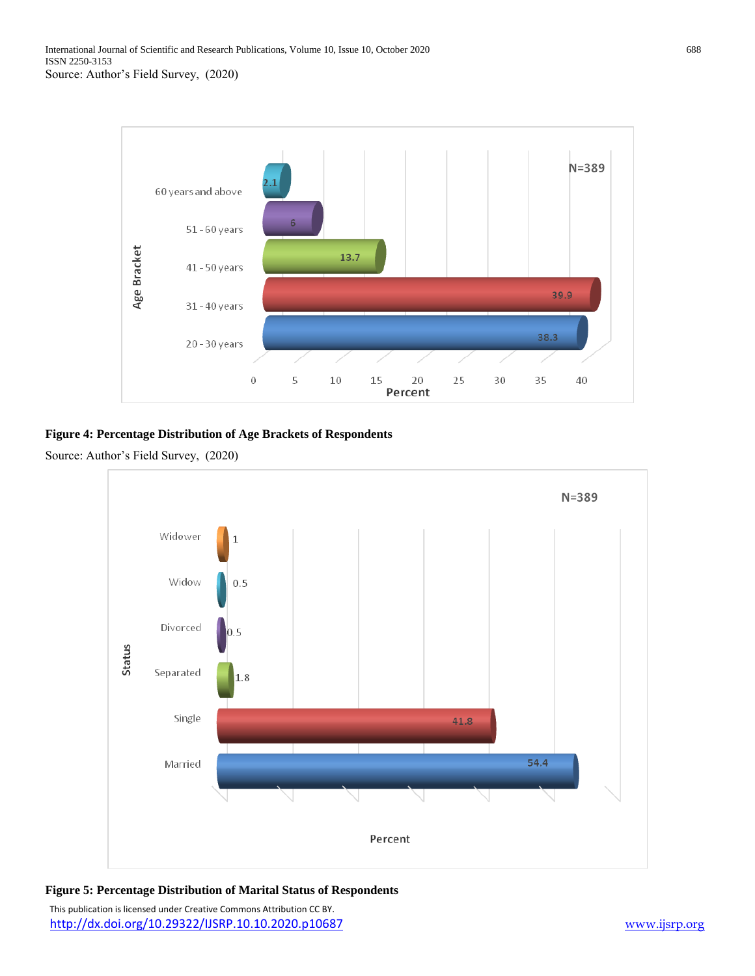

# **Figure 4: Percentage Distribution of Age Brackets of Respondents**





# **Figure 5: Percentage Distribution of Marital Status of Respondents**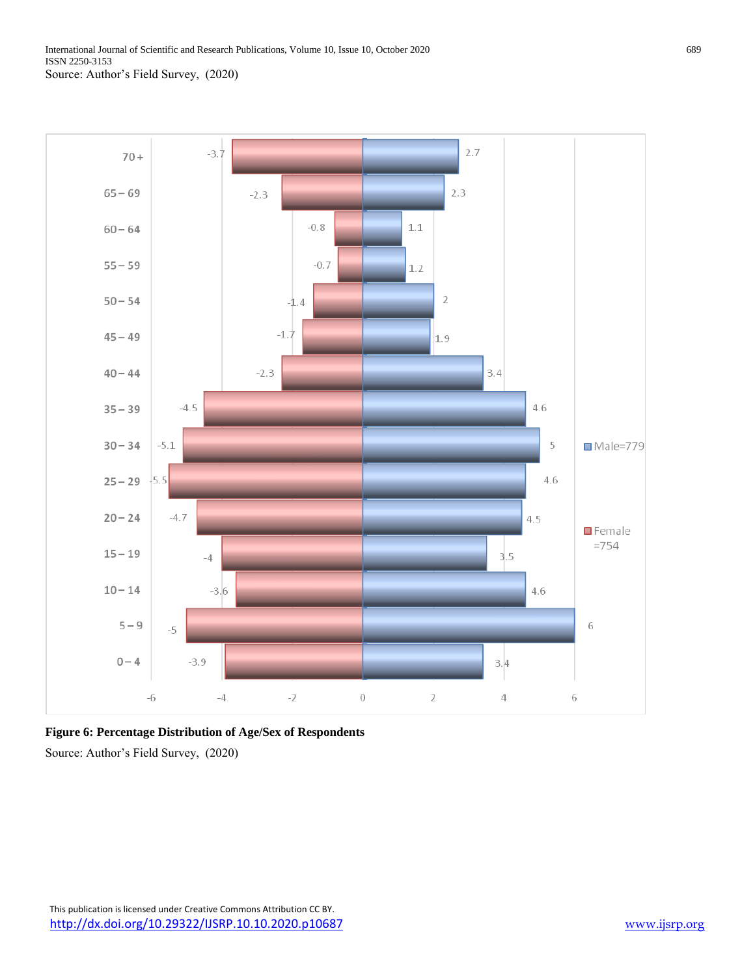

**Figure 6: Percentage Distribution of Age/Sex of Respondents**

Source: Author's Field Survey, (2020)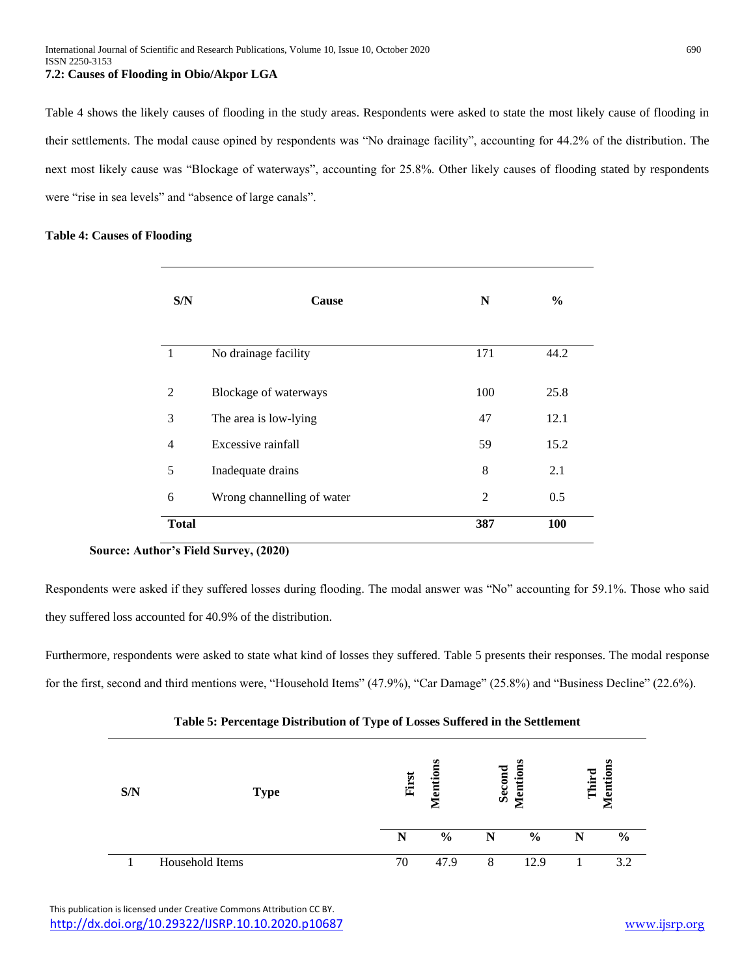Table 4 shows the likely causes of flooding in the study areas. Respondents were asked to state the most likely cause of flooding in their settlements. The modal cause opined by respondents was "No drainage facility", accounting for 44.2% of the distribution. The next most likely cause was "Blockage of waterways", accounting for 25.8%. Other likely causes of flooding stated by respondents were "rise in sea levels" and "absence of large canals".

## **Table 4: Causes of Flooding**

| S/N            | Cause                      | N   | $\frac{6}{9}$ |
|----------------|----------------------------|-----|---------------|
| -1             | No drainage facility       | 171 | 44.2          |
| 2              | Blockage of waterways      | 100 | 25.8          |
| 3              | The area is low-lying      | 47  | 12.1          |
| $\overline{4}$ | Excessive rainfall         | 59  | 15.2          |
| 5              | Inadequate drains          | 8   | 2.1           |
| 6              | Wrong channelling of water | 2   | 0.5           |
| <b>Total</b>   |                            | 387 | 100           |

# **Source: Author's Field Survey, (2020)**

Respondents were asked if they suffered losses during flooding. The modal answer was "No" accounting for 59.1%. Those who said they suffered loss accounted for 40.9% of the distribution.

Furthermore, respondents were asked to state what kind of losses they suffered. Table 5 presents their responses. The modal response for the first, second and third mentions were, "Household Items" (47.9%), "Car Damage" (25.8%) and "Business Decline" (22.6%).

| S/N | <b>Type</b>     | First | ب.<br>a.      | Second | <b>Mention</b><br>◚ | Third | lention<br>◚  |
|-----|-----------------|-------|---------------|--------|---------------------|-------|---------------|
|     |                 | N     | $\frac{6}{9}$ |        | $\frac{6}{6}$       | N     | $\frac{6}{6}$ |
|     | Household Items | 70    | 47.9          | 8      | 12.9                |       | 3.2           |

## **Table 5: Percentage Distribution of Type of Losses Suffered in the Settlement**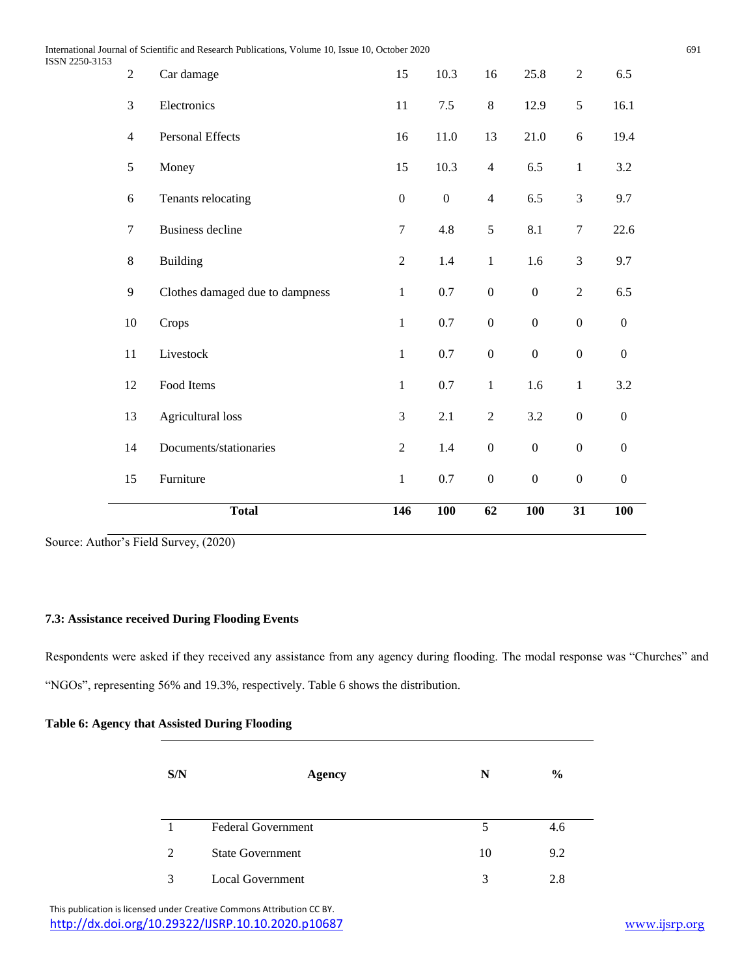International Journal of Scientific and Research Publications, Volume 10, Issue 10, October 2020 691 ISSN 2250-31

|                      | <b>Total</b>                    | 146              | <b>100</b>       | 62               | <b>100</b>       | 31               | <b>100</b>       |
|----------------------|---------------------------------|------------------|------------------|------------------|------------------|------------------|------------------|
| 15                   | Furniture                       | $\mathbf{1}$     | $0.7\,$          | $\boldsymbol{0}$ | $\boldsymbol{0}$ | $\boldsymbol{0}$ | $\boldsymbol{0}$ |
| 14                   | Documents/stationaries          | $\sqrt{2}$       | 1.4              | $\boldsymbol{0}$ | $\boldsymbol{0}$ | $\boldsymbol{0}$ | $\boldsymbol{0}$ |
| 13                   | Agricultural loss               | 3                | 2.1              | $\sqrt{2}$       | 3.2              | $\boldsymbol{0}$ | $\boldsymbol{0}$ |
| 12                   | Food Items                      | $\mathbf{1}$     | $0.7\,$          | $\mathbf{1}$     | 1.6              | $\mathbf{1}$     | 3.2              |
| $11\,$               | Livestock                       | $\mathbf{1}$     | 0.7              | $\boldsymbol{0}$ | $\boldsymbol{0}$ | $\boldsymbol{0}$ | $\boldsymbol{0}$ |
| $10\,$               | Crops                           | $\mathbf{1}$     | $0.7\,$          | $\boldsymbol{0}$ | $\boldsymbol{0}$ | $\boldsymbol{0}$ | $\boldsymbol{0}$ |
| $\overline{9}$       | Clothes damaged due to dampness | $\mathbf{1}$     | $0.7\,$          | $\boldsymbol{0}$ | $\boldsymbol{0}$ | $\overline{c}$   | 6.5              |
| $8\,$                | <b>Building</b>                 | $\sqrt{2}$       | 1.4              | $1\,$            | 1.6              | 3                | 9.7              |
| $\boldsymbol{7}$     | <b>Business decline</b>         | $\overline{7}$   | 4.8              | 5                | 8.1              | $\tau$           | 22.6             |
| $\sqrt{6}$           | Tenants relocating              | $\boldsymbol{0}$ | $\boldsymbol{0}$ | $\overline{4}$   | 6.5              | $\mathfrak{Z}$   | 9.7              |
| 5                    | Money                           | 15               | 10.3             | $\overline{4}$   | 6.5              | $\mathbf{1}$     | 3.2              |
| $\overline{4}$       | Personal Effects                | 16               | 11.0             | 13               | 21.0             | $\sqrt{6}$       | 19.4             |
| 3                    | Electronics                     | 11               | $7.5$            | 8                | 12.9             | 5                | 16.1             |
| 53<br>$\overline{2}$ | Car damage                      | 15               | 10.3             | 16               | 25.8             | $\sqrt{2}$       | 6.5              |

Source: Author's Field Survey, (2020)

# **7.3: Assistance received During Flooding Events**

Respondents were asked if they received any assistance from any agency during flooding. The modal response was "Churches" and "NGOs", representing 56% and 19.3%, respectively. Table 6 shows the distribution.

| S/N | <b>Agency</b>             | N  | $\frac{6}{9}$ |
|-----|---------------------------|----|---------------|
|     | <b>Federal Government</b> | 5  | 4.6           |
| 2   | <b>State Government</b>   | 10 | 9.2           |
| 3   | <b>Local Government</b>   | 3  | 2.8           |

# **Table 6: Agency that Assisted During Flooding**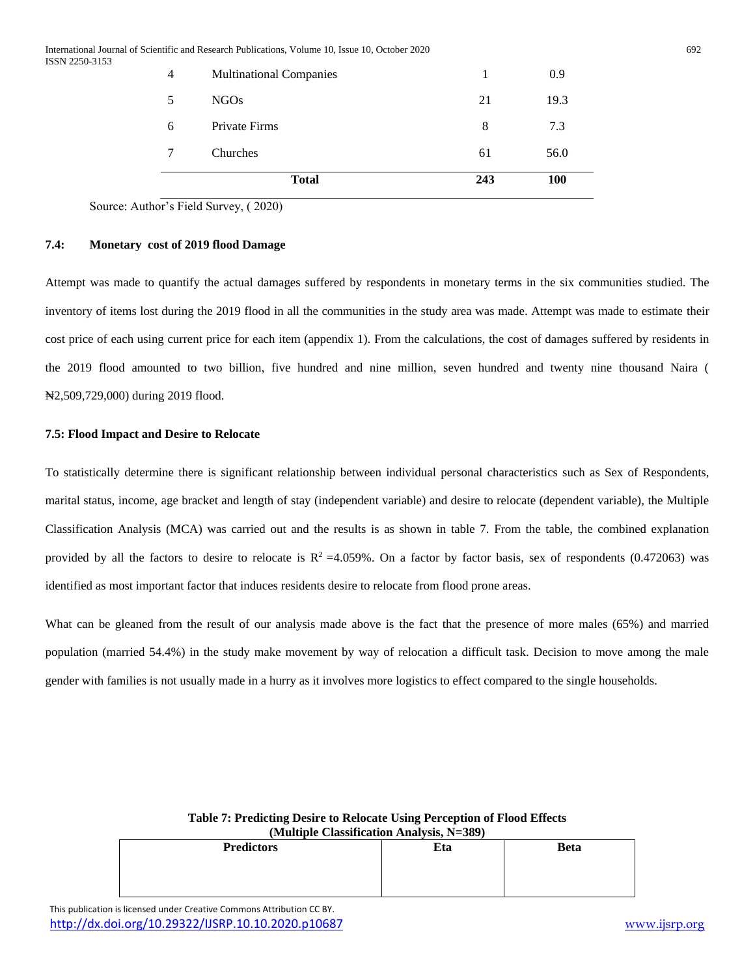| 4 | <b>Multinational Companies</b> | 1   | 0.9        |
|---|--------------------------------|-----|------------|
| 5 | NGOs                           | 21  | 19.3       |
| 6 | <b>Private Firms</b>           | 8   | 7.3        |
|   | Churches                       | 61  | 56.0       |
|   | <b>Total</b>                   | 243 | <b>100</b> |

Source: Author's Field Survey, ( 2020)

# **7.4: Monetary cost of 2019 flood Damage**

Attempt was made to quantify the actual damages suffered by respondents in monetary terms in the six communities studied. The inventory of items lost during the 2019 flood in all the communities in the study area was made. Attempt was made to estimate their cost price of each using current price for each item (appendix 1). From the calculations, the cost of damages suffered by residents in the 2019 flood amounted to two billion, five hundred and nine million, seven hundred and twenty nine thousand Naira ( ₦2,509,729,000) during 2019 flood.

## **7.5: Flood Impact and Desire to Relocate**

To statistically determine there is significant relationship between individual personal characteristics such as Sex of Respondents, marital status, income, age bracket and length of stay (independent variable) and desire to relocate (dependent variable), the Multiple Classification Analysis (MCA) was carried out and the results is as shown in table 7. From the table, the combined explanation provided by all the factors to desire to relocate is  $R^2 = 4.059\%$ . On a factor by factor basis, sex of respondents (0.472063) was identified as most important factor that induces residents desire to relocate from flood prone areas.

What can be gleaned from the result of our analysis made above is the fact that the presence of more males (65%) and married population (married 54.4%) in the study make movement by way of relocation a difficult task. Decision to move among the male gender with families is not usually made in a hurry as it involves more logistics to effect compared to the single households.

| $(1)$ and $(1)$ and $(2)$ and $(3)$ and $(4)$ and $(5)$ and $(7)$ and $(8)$ and $(1)$ and $(1)$ and $(1)$ and $(2)$ and $(3)$ and $(4)$ and $(5)$ and $(6)$ and $(7)$ and $(8)$ and $(9)$ and $(1)$ and $(1)$ and $(1)$ and |     |             |  |  |  |  |  |
|-----------------------------------------------------------------------------------------------------------------------------------------------------------------------------------------------------------------------------|-----|-------------|--|--|--|--|--|
| <b>Predictors</b>                                                                                                                                                                                                           | Eta | <b>Beta</b> |  |  |  |  |  |
|                                                                                                                                                                                                                             |     |             |  |  |  |  |  |
|                                                                                                                                                                                                                             |     |             |  |  |  |  |  |
|                                                                                                                                                                                                                             |     |             |  |  |  |  |  |

## **Table 7: Predicting Desire to Relocate Using Perception of Flood Effects (Multiple Classification Analysis, N=389)**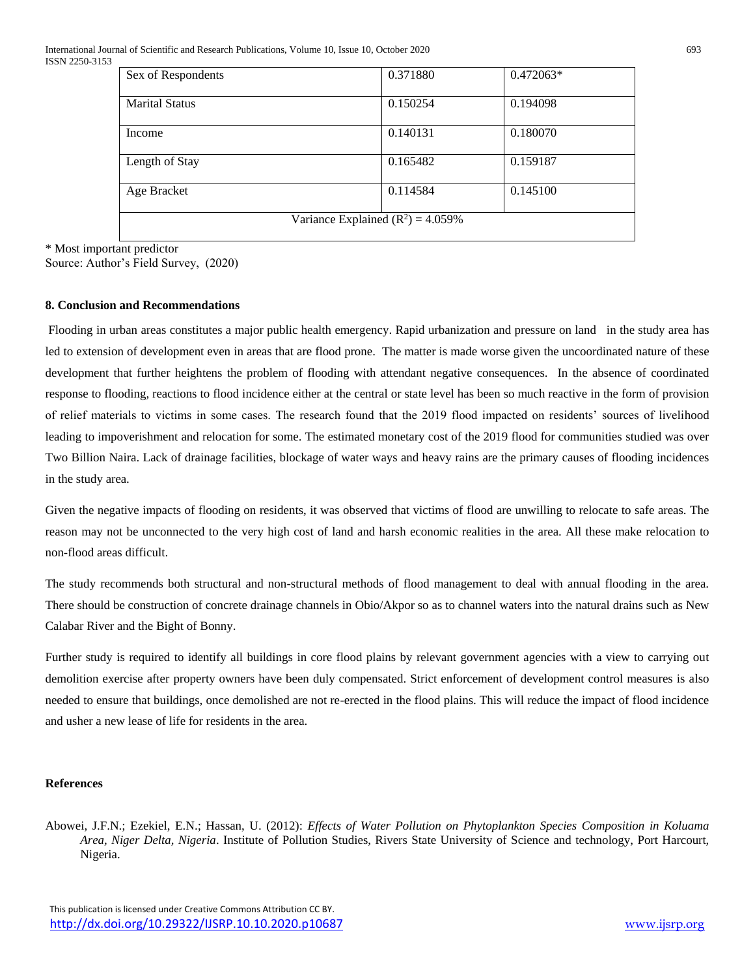International Journal of Scientific and Research Publications, Volume 10, Issue 10, October 2020 693 ISSN 2250-3153

| Sex of Respondents                   | 0.371880 | $0.472063*$ |  |  |  |
|--------------------------------------|----------|-------------|--|--|--|
| <b>Marital Status</b>                | 0.150254 | 0.194098    |  |  |  |
| Income                               | 0.140131 | 0.180070    |  |  |  |
| Length of Stay                       | 0.165482 | 0.159187    |  |  |  |
| Age Bracket                          | 0.114584 | 0.145100    |  |  |  |
| Variance Explained $(R^2) = 4.059\%$ |          |             |  |  |  |

\* Most important predictor

Source: Author's Field Survey, (2020)

## **8. Conclusion and Recommendations**

Flooding in urban areas constitutes a major public health emergency. Rapid urbanization and pressure on land in the study area has led to extension of development even in areas that are flood prone. The matter is made worse given the uncoordinated nature of these development that further heightens the problem of flooding with attendant negative consequences. In the absence of coordinated response to flooding, reactions to flood incidence either at the central or state level has been so much reactive in the form of provision of relief materials to victims in some cases. The research found that the 2019 flood impacted on residents' sources of livelihood leading to impoverishment and relocation for some. The estimated monetary cost of the 2019 flood for communities studied was over Two Billion Naira. Lack of drainage facilities, blockage of water ways and heavy rains are the primary causes of flooding incidences in the study area.

Given the negative impacts of flooding on residents, it was observed that victims of flood are unwilling to relocate to safe areas. The reason may not be unconnected to the very high cost of land and harsh economic realities in the area. All these make relocation to non-flood areas difficult.

The study recommends both structural and non-structural methods of flood management to deal with annual flooding in the area. There should be construction of concrete drainage channels in Obio/Akpor so as to channel waters into the natural drains such as New Calabar River and the Bight of Bonny.

Further study is required to identify all buildings in core flood plains by relevant government agencies with a view to carrying out demolition exercise after property owners have been duly compensated. Strict enforcement of development control measures is also needed to ensure that buildings, once demolished are not re-erected in the flood plains. This will reduce the impact of flood incidence and usher a new lease of life for residents in the area.

## **References**

Abowei, J.F.N.; Ezekiel, E.N.; Hassan, U. (2012): *Effects of Water Pollution on Phytoplankton Species Composition in Koluama Area, Niger Delta, Nigeria*. Institute of Pollution Studies, Rivers State University of Science and technology, Port Harcourt, Nigeria.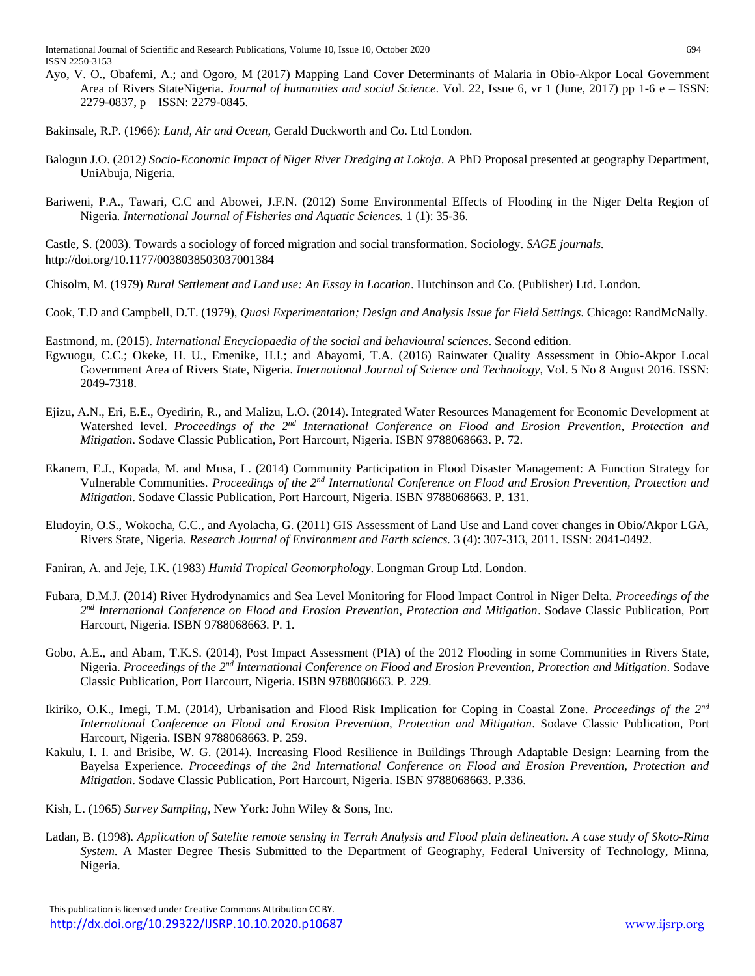International Journal of Scientific and Research Publications, Volume 10, Issue 10, October 2020 694 ISSN 2250-3153

Ayo, V. O., Obafemi, A.; and Ogoro, M (2017) Mapping Land Cover Determinants of Malaria in Obio-Akpor Local Government Area of Rivers StateNigeria. *Journal of humanities and social Science*. Vol. 22, Issue 6, vr 1 (June, 2017) pp 1-6 e – ISSN: 2279-0837, p – ISSN: 2279-0845.

Bakinsale, R.P. (1966): *Land, Air and Ocean*, Gerald Duckworth and Co. Ltd London.

- Balogun J.O. (2012*) Socio-Economic Impact of Niger River Dredging at Lokoja*. A PhD Proposal presented at geography Department, UniAbuja, Nigeria.
- Bariweni, P.A., Tawari, C.C and Abowei, J.F.N. (2012) Some Environmental Effects of Flooding in the Niger Delta Region of Nigeria*. International Journal of Fisheries and Aquatic Sciences.* 1 (1): 35-36.

Castle, S. (2003). Towards a sociology of forced migration and social transformation. Sociology. *SAGE journals.* http://doi.org/10.1177/0038038503037001384

Chisolm, M. (1979) *Rural Settlement and Land use: An Essay in Location*. Hutchinson and Co. (Publisher) Ltd. London.

Cook, T.D and Campbell, D.T. (1979), *Quasi Experimentation; Design and Analysis Issue for Field Settings*. Chicago: RandMcNally.

Eastmond, m. (2015). *International Encyclopaedia of the social and behavioural sciences*. Second edition.

- Egwuogu, C.C.; Okeke, H. U., Emenike, H.I.; and Abayomi, T.A. (2016) Rainwater Quality Assessment in Obio-Akpor Local Government Area of Rivers State, Nigeria. *International Journal of Science and Technology*, Vol. 5 No 8 August 2016. ISSN: 2049-7318.
- Ejizu, A.N., Eri, E.E., Oyedirin, R., and Malizu, L.O. (2014). Integrated Water Resources Management for Economic Development at Watershed level. *Proceedings of the 2nd International Conference on Flood and Erosion Prevention, Protection and Mitigation*. Sodave Classic Publication, Port Harcourt, Nigeria. ISBN 9788068663. P. 72.
- Ekanem, E.J., Kopada, M. and Musa, L. (2014) Community Participation in Flood Disaster Management: A Function Strategy for Vulnerable Communities*. Proceedings of the 2nd International Conference on Flood and Erosion Prevention, Protection and Mitigation*. Sodave Classic Publication, Port Harcourt, Nigeria. ISBN 9788068663. P. 131.
- Eludoyin, O.S., Wokocha, C.C., and Ayolacha, G. (2011) GIS Assessment of Land Use and Land cover changes in Obio/Akpor LGA, Rivers State, Nigeria. *Research Journal of Environment and Earth sciencs.* 3 (4): 307-313, 2011. ISSN: 2041-0492.

Faniran, A. and Jeje, I.K. (1983) *Humid Tropical Geomorphology*. Longman Group Ltd. London.

- Fubara, D.M.J. (2014) River Hydrodynamics and Sea Level Monitoring for Flood Impact Control in Niger Delta*. Proceedings of the 2 nd International Conference on Flood and Erosion Prevention, Protection and Mitigation*. Sodave Classic Publication, Port Harcourt, Nigeria. ISBN 9788068663. P. 1.
- Gobo, A.E., and Abam, T.K.S. (2014), Post Impact Assessment (PIA) of the 2012 Flooding in some Communities in Rivers State, Nigeria. *Proceedings of the 2nd International Conference on Flood and Erosion Prevention, Protection and Mitigation*. Sodave Classic Publication, Port Harcourt, Nigeria. ISBN 9788068663. P. 229.
- Ikiriko, O.K., Imegi, T.M. (2014), Urbanisation and Flood Risk Implication for Coping in Coastal Zone. *Proceedings of the 2nd International Conference on Flood and Erosion Prevention, Protection and Mitigation*. Sodave Classic Publication, Port Harcourt, Nigeria. ISBN 9788068663. P. 259.
- Kakulu, I. I. and Brisibe, W. G. (2014). Increasing Flood Resilience in Buildings Through Adaptable Design: Learning from the Bayelsa Experience. *Proceedings of the 2nd International Conference on Flood and Erosion Prevention, Protection and Mitigation*. Sodave Classic Publication, Port Harcourt, Nigeria. ISBN 9788068663. P.336.
- Kish, L. (1965) *Survey Sampling*, New York: John Wiley & Sons, Inc.
- Ladan, B. (1998). *Application of Satelite remote sensing in Terrah Analysis and Flood plain delineation. A case study of Skoto-Rima System*. A Master Degree Thesis Submitted to the Department of Geography, Federal University of Technology, Minna, Nigeria.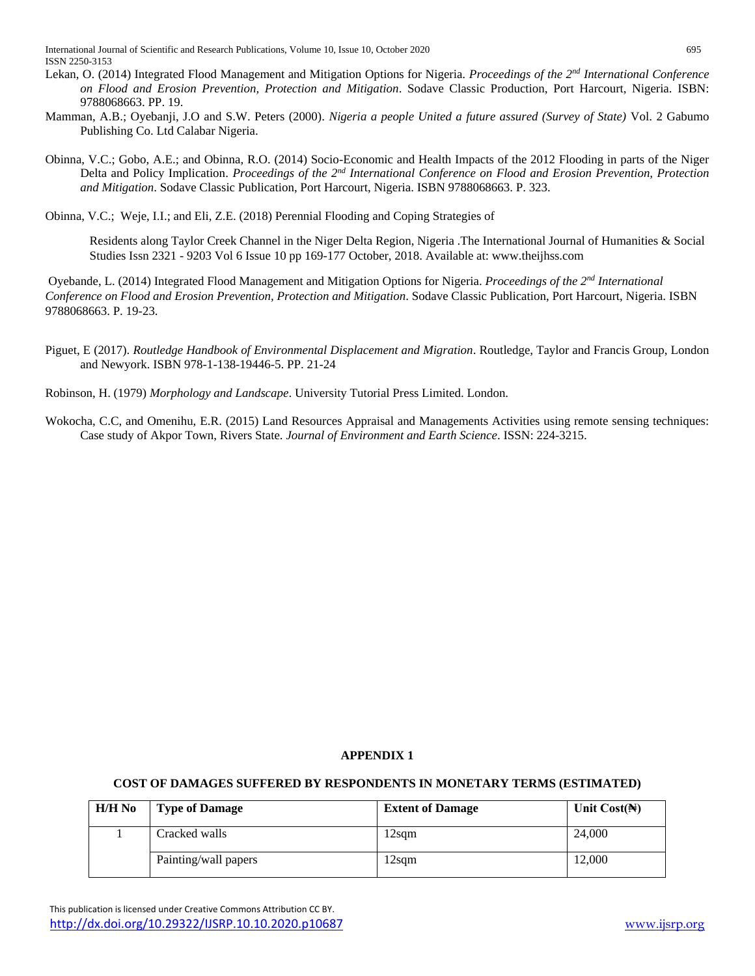International Journal of Scientific and Research Publications, Volume 10, Issue 10, October 2020 695 ISSN 2250-3153

- Lekan, O. (2014) Integrated Flood Management and Mitigation Options for Nigeria. *Proceedings of the 2nd International Conference on Flood and Erosion Prevention, Protection and Mitigation*. Sodave Classic Production, Port Harcourt, Nigeria. ISBN: 9788068663. PP. 19.
- Mamman, A.B.; Oyebanji, J.O and S.W. Peters (2000). *Nigeria a people United a future assured (Survey of State)* Vol. 2 Gabumo Publishing Co. Ltd Calabar Nigeria.
- Obinna, V.C.; Gobo, A.E.; and Obinna, R.O. (2014) Socio-Economic and Health Impacts of the 2012 Flooding in parts of the Niger Delta and Policy Implication. *Proceedings of the 2nd International Conference on Flood and Erosion Prevention, Protection and Mitigation*. Sodave Classic Publication, Port Harcourt, Nigeria. ISBN 9788068663. P. 323.

Obinna, V.C.; Weje, I.I.; and Eli, Z.E. (2018) Perennial Flooding and Coping Strategies of

Residents along Taylor Creek Channel in the Niger Delta Region, Nigeria .The International Journal of Humanities & Social Studies Issn 2321 - 9203 Vol 6 Issue 10 pp 169-177 October, 2018. Available at: www.theijhss.com

Oyebande, L. (2014) Integrated Flood Management and Mitigation Options for Nigeria. *Proceedings of the 2nd International Conference on Flood and Erosion Prevention, Protection and Mitigation*. Sodave Classic Publication, Port Harcourt, Nigeria. ISBN 9788068663. P. 19-23.

- Piguet, E (2017). *Routledge Handbook of Environmental Displacement and Migration*. Routledge, Taylor and Francis Group, London and Newyork. ISBN 978-1-138-19446-5. PP. 21-24
- Robinson, H. (1979) *Morphology and Landscape*. University Tutorial Press Limited. London.
- Wokocha, C.C, and Omenihu, E.R. (2015) Land Resources Appraisal and Managements Activities using remote sensing techniques: Case study of Akpor Town, Rivers State. *Journal of Environment and Earth Science*. ISSN: 224-3215.

# **APPENDIX 1**

# **COST OF DAMAGES SUFFERED BY RESPONDENTS IN MONETARY TERMS (ESTIMATED)**

| $H/H$ No | <b>Type of Damage</b> | <b>Extent of Damage</b> | Unit $Cost(\mathbb{H})$ |
|----------|-----------------------|-------------------------|-------------------------|
|          | Cracked walls         | !2sqm                   | 24,000                  |
|          | Painting/wall papers  | $2$ sqm                 | 12,000                  |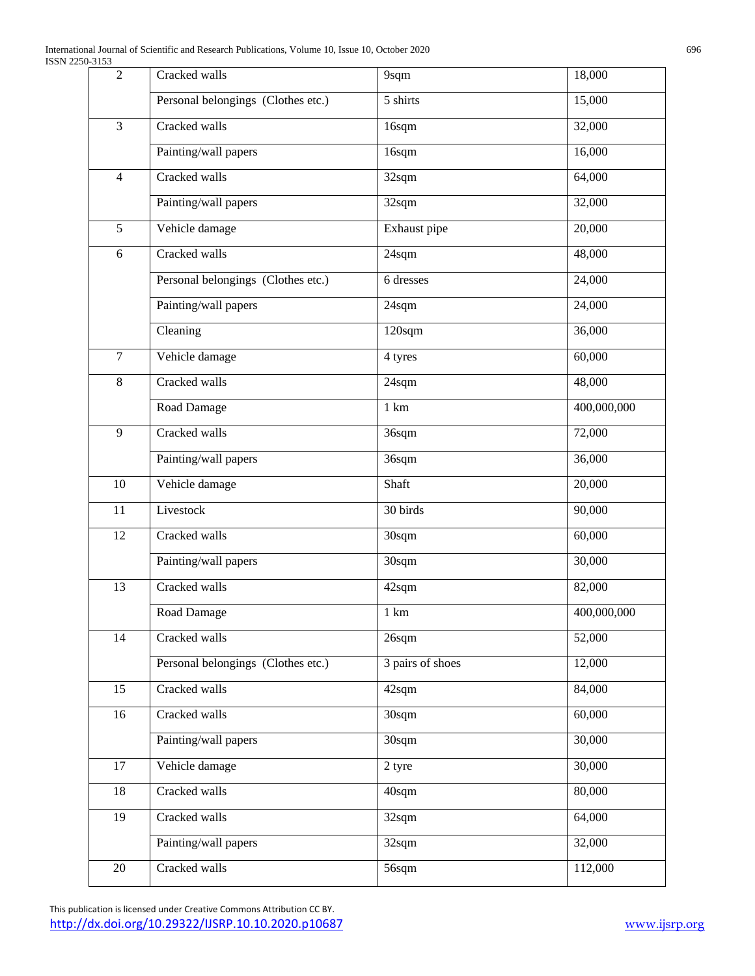| $\overline{2}$ | Cracked walls                      | 9sqm                | 18,000      |
|----------------|------------------------------------|---------------------|-------------|
|                | Personal belongings (Clothes etc.) | 5 shirts            | 15,000      |
| 3              | Cracked walls                      | 16sqm               | 32,000      |
|                | Painting/wall papers               | 16sqm               | 16,000      |
| $\overline{4}$ | Cracked walls                      | 32sqm               | 64,000      |
|                | Painting/wall papers               | 32sqm               | 32,000      |
| $\overline{5}$ | Vehicle damage                     | Exhaust pipe        | 20,000      |
| 6              | Cracked walls                      | 24sqm               | 48,000      |
|                | Personal belongings (Clothes etc.) | 6 dresses           | 24,000      |
|                | Painting/wall papers               | 24sqm               | 24,000      |
|                | Cleaning                           | $120$ sqm           | 36,000      |
| $\overline{7}$ | Vehicle damage                     | 4 tyres             | 60,000      |
| 8              | Cracked walls                      | 24sqm               | 48,000      |
|                | Road Damage                        | $1 \text{ km}$      | 400,000,000 |
| 9              | Cracked walls                      | 36sqm               | 72,000      |
|                | Painting/wall papers               | 36sqm               | 36,000      |
| 10             | Vehicle damage                     | Shaft               | 20,000      |
| 11             | Livestock                          | 30 birds            | 90,000      |
| 12             | Cracked walls                      | 30sqm               | 60,000      |
|                | Painting/wall papers               | 30sqm               | 30,000      |
| 13             | Cracked walls                      | 42sqm               | 82,000      |
|                | Road Damage                        | 1 km                | 400,000,000 |
| 14             | Cracked walls                      | 26sqm               | 52,000      |
|                | Personal belongings (Clothes etc.) | 3 pairs of shoes    | 12,000      |
| 15             | Cracked walls                      | 42sqm               | 84,000      |
| 16             | Cracked walls                      | 30sqm               | 60,000      |
|                | Painting/wall papers               | 30sqm               | 30,000      |
| $17\,$         | Vehicle damage                     | 2 tyre              | 30,000      |
| 18             | Cracked walls                      | 40sqm               | 80,000      |
| 19             | Cracked walls                      | $\overline{3}$ 2sqm | 64,000      |
|                | Painting/wall papers               | 32sqm               | 32,000      |
| 20             | Cracked walls                      | 56sqm               | 112,000     |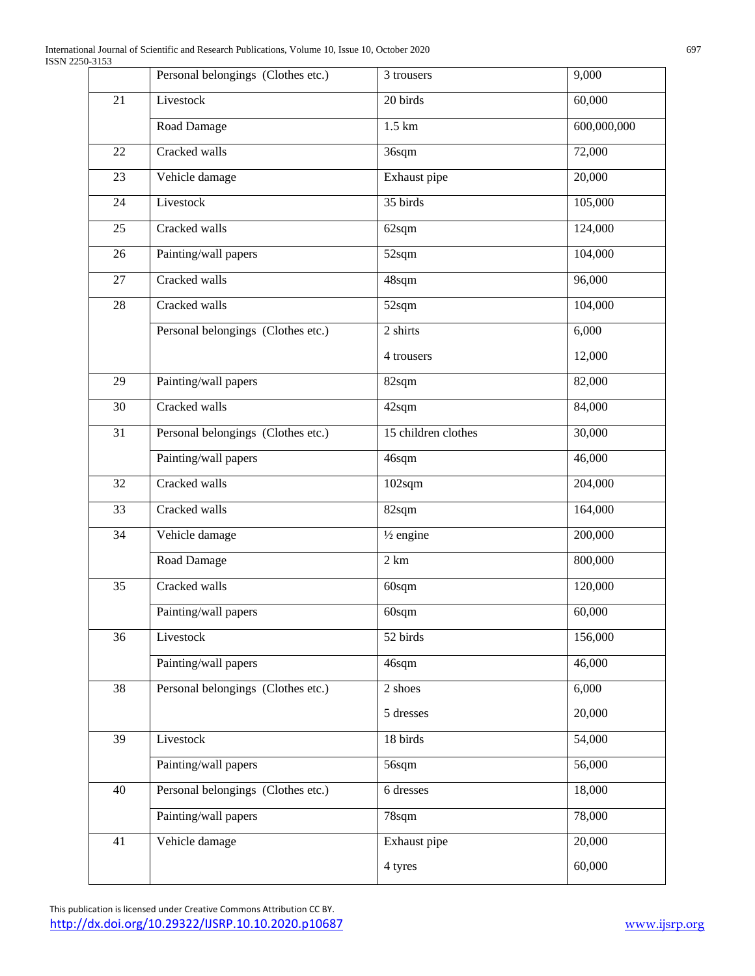|    | Personal belongings (Clothes etc.) | 3 trousers           | 9,000       |
|----|------------------------------------|----------------------|-------------|
| 21 | Livestock                          | 20 birds             | 60,000      |
|    | Road Damage                        | $1.5 \text{ km}$     | 600,000,000 |
| 22 | Cracked walls                      | 36sqm                | 72,000      |
| 23 | Vehicle damage                     | Exhaust pipe         | 20,000      |
| 24 | Livestock                          | 35 birds             | 105,000     |
| 25 | Cracked walls                      | 62sqm                | 124,000     |
| 26 | Painting/wall papers               | 52sqm                | 104,000     |
| 27 | Cracked walls                      | 48sqm                | 96,000      |
| 28 | Cracked walls                      | 52sqm                | 104,000     |
|    | Personal belongings (Clothes etc.) | 2 shirts             | 6,000       |
|    |                                    | 4 trousers           | 12,000      |
| 29 | Painting/wall papers               | 82sqm                | 82,000      |
| 30 | Cracked walls                      | 42sqm                | 84,000      |
| 31 | Personal belongings (Clothes etc.) | 15 children clothes  | 30,000      |
|    | Painting/wall papers               | 46sqm                | 46,000      |
| 32 | Cracked walls                      | $102$ sqm            | 204,000     |
| 33 | Cracked walls                      | 82sqm                | 164,000     |
| 34 | Vehicle damage                     | $\frac{1}{2}$ engine | 200,000     |
|    | Road Damage                        | 2 km                 | 800,000     |
| 35 | Cracked walls                      | 60sqm                | 120,000     |
|    | Painting/wall papers               | 60sqm                | 60,000      |
| 36 | Livestock                          | 52 birds             | 156,000     |
|    | Painting/wall papers               | 46sqm                | 46,000      |
| 38 | Personal belongings (Clothes etc.) | $\overline{2}$ shoes | 6,000       |
|    |                                    | 5 dresses            | 20,000      |
| 39 | Livestock                          | 18 birds             | 54,000      |
|    | Painting/wall papers               | 56sqm                | 56,000      |
| 40 | Personal belongings (Clothes etc.) | 6 dresses            | 18,000      |
|    | Painting/wall papers               | 78sqm                | 78,000      |
| 41 | Vehicle damage                     | Exhaust pipe         | 20,000      |
|    |                                    | 4 tyres              | 60,000      |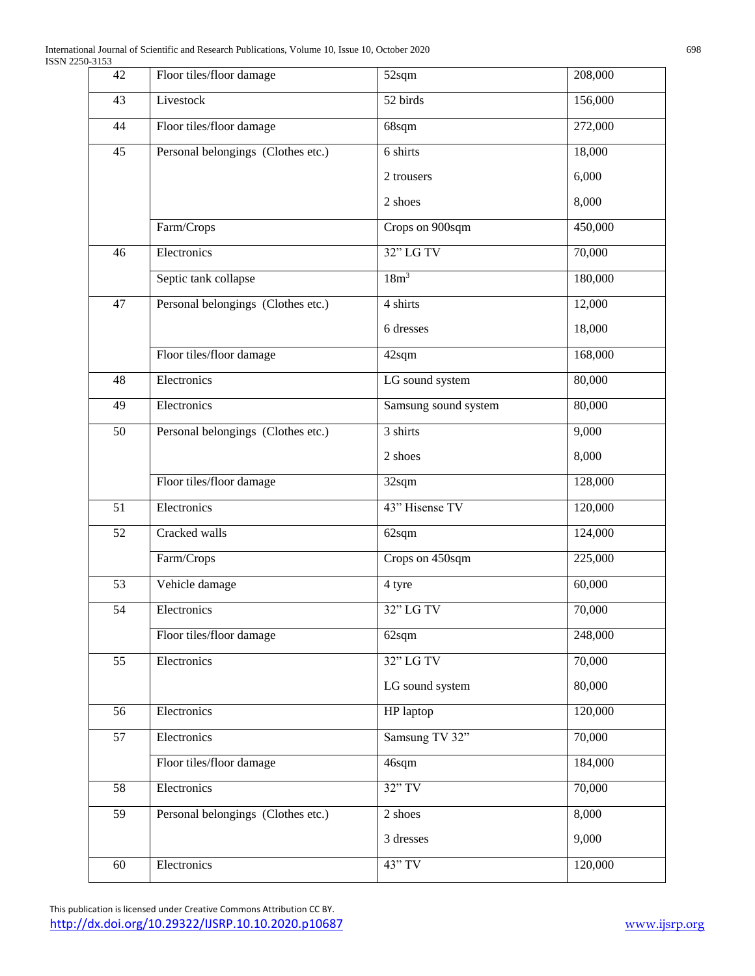| 42 | Floor tiles/floor damage           | 52sqm                | 208,000 |
|----|------------------------------------|----------------------|---------|
| 43 | Livestock                          | 52 birds             | 156,000 |
| 44 | Floor tiles/floor damage           | 68sqm                | 272,000 |
| 45 | Personal belongings (Clothes etc.) | 6 shirts             | 18,000  |
|    |                                    | 2 trousers           | 6,000   |
|    |                                    | 2 shoes              | 8,000   |
|    | Farm/Crops                         | Crops on 900sqm      | 450,000 |
| 46 | Electronics                        | $32"$ LG TV          | 70,000  |
|    | Septic tank collapse               | 18m <sup>3</sup>     | 180,000 |
| 47 | Personal belongings (Clothes etc.) | 4 shirts             | 12,000  |
|    |                                    | 6 dresses            | 18,000  |
|    | Floor tiles/floor damage           | 42sqm                | 168,000 |
| 48 | Electronics                        | LG sound system      | 80,000  |
| 49 | Electronics                        | Samsung sound system | 80,000  |
| 50 | Personal belongings (Clothes etc.) | 3 shirts             | 9,000   |
|    |                                    | 2 shoes              | 8,000   |
|    | Floor tiles/floor damage           | 32sqm                | 128,000 |
| 51 | Electronics                        | 43" Hisense TV       | 120,000 |
| 52 | Cracked walls                      | 62sqm                | 124,000 |
|    | Farm/Crops                         | Crops on 450sqm      | 225,000 |
| 53 | Vehicle damage                     | 4 tyre               | 60,000  |
| 54 | Electronics                        | 32" LG TV            | 70,000  |
|    | Floor tiles/floor damage           | 62sqm                | 248,000 |
| 55 | Electronics                        | 32" LG TV            | 70,000  |
|    |                                    | LG sound system      | 80,000  |
| 56 | Electronics                        | HP laptop            | 120,000 |
| 57 | Electronics                        | Samsung TV 32"       | 70,000  |
|    | Floor tiles/floor damage           | 46sqm                | 184,000 |
| 58 | Electronics                        | $32"$ TV             | 70,000  |
| 59 | Personal belongings (Clothes etc.) | 2 shoes              | 8,000   |
|    |                                    | 3 dresses            | 9,000   |
| 60 | Electronics                        | 43" TV               | 120,000 |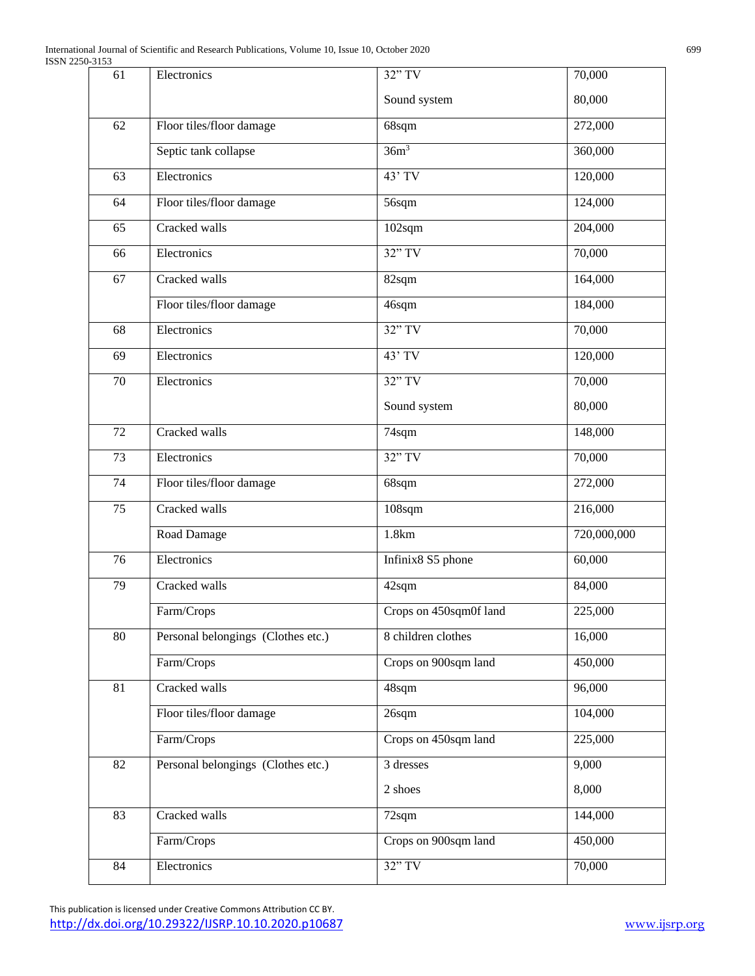| 61 | Electronics                        | 32" TV                 | 70,000      |
|----|------------------------------------|------------------------|-------------|
|    |                                    | Sound system           | 80,000      |
| 62 | Floor tiles/floor damage           | 68sqm                  | 272,000     |
|    | Septic tank collapse               | 36m <sup>3</sup>       | 360,000     |
| 63 | Electronics                        | $43'$ TV               | 120,000     |
| 64 | Floor tiles/floor damage           | 56sqm                  | 124,000     |
| 65 | Cracked walls                      | 102sqm                 | 204,000     |
| 66 | Electronics                        | $32"$ TV               | 70,000      |
| 67 | Cracked walls                      | 82sqm                  | 164,000     |
|    | Floor tiles/floor damage           | 46sqm                  | 184,000     |
| 68 | Electronics                        | $32"$ TV               | 70,000      |
| 69 | Electronics                        | 43' TV                 | 120,000     |
| 70 | Electronics                        | $32"$ TV               | 70,000      |
|    |                                    | Sound system           | 80,000      |
| 72 | Cracked walls                      | 74sqm                  | 148,000     |
| 73 | Electronics                        | $32"$ TV               | 70,000      |
| 74 | Floor tiles/floor damage           | 68sqm                  | 272,000     |
| 75 | Cracked walls                      | 108sqm                 | 216,000     |
|    | Road Damage                        | 1.8km                  | 720,000,000 |
| 76 | Electronics                        | Infinix8 S5 phone      | 60,000      |
| 79 | Cracked walls                      | 42sqm                  | 84,000      |
|    | Farm/Crops                         | Crops on 450sqm0f land | 225,000     |
| 80 | Personal belongings (Clothes etc.) | 8 children clothes     | 16,000      |
|    | Farm/Crops                         | Crops on 900sqm land   | 450,000     |
| 81 | Cracked walls                      | 48sqm                  | 96,000      |
|    | Floor tiles/floor damage           | 26sqm                  | 104,000     |
|    | Farm/Crops                         | Crops on 450sqm land   | 225,000     |
| 82 | Personal belongings (Clothes etc.) | 3 dresses              | 9,000       |
|    |                                    | 2 shoes                | 8,000       |
| 83 | Cracked walls                      | 72sqm                  | 144,000     |
|    | Farm/Crops                         | Crops on 900sqm land   | 450,000     |
| 84 | Electronics                        | $32"$ TV               | 70,000      |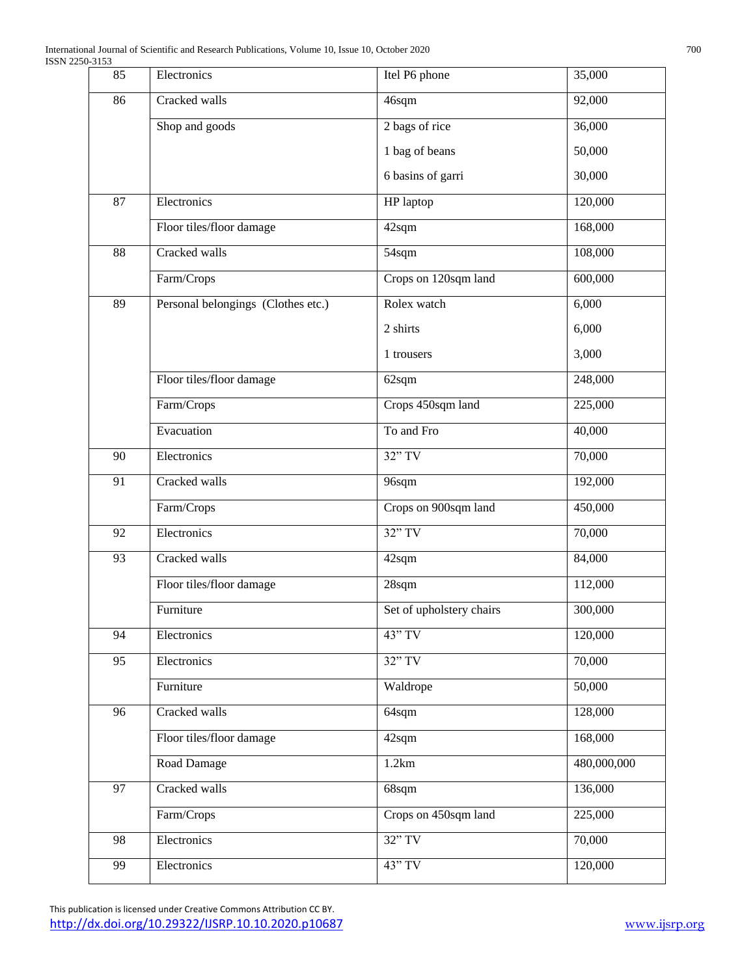| 85              | Electronics                        | Itel P6 phone            | 35,000      |
|-----------------|------------------------------------|--------------------------|-------------|
| 86              | Cracked walls                      | 46sqm                    | 92,000      |
|                 | Shop and goods                     | 2 bags of rice           | 36,000      |
|                 |                                    | 1 bag of beans           | 50,000      |
|                 |                                    | 6 basins of garri        | 30,000      |
| 87              | Electronics                        | HP laptop                | 120,000     |
|                 | Floor tiles/floor damage           | 42sqm                    | 168,000     |
| 88              | Cracked walls                      | 54sqm                    | 108,000     |
|                 | Farm/Crops                         | Crops on 120sqm land     | 600,000     |
| 89              | Personal belongings (Clothes etc.) | Rolex watch              | 6,000       |
|                 |                                    | 2 shirts                 | 6,000       |
|                 |                                    | 1 trousers               | 3,000       |
|                 | Floor tiles/floor damage           | 62sqm                    | 248,000     |
|                 | Farm/Crops                         | Crops 450sqm land        | 225,000     |
|                 | Evacuation                         | To and Fro               | 40,000      |
| 90              | Electronics                        | $32"$ TV                 | 70,000      |
| 91              | Cracked walls                      | 96sqm                    | 192,000     |
|                 | Farm/Crops                         | Crops on 900sqm land     | 450,000     |
| 92              | Electronics                        | $32"$ TV                 | 70,000      |
| 93              | Cracked walls                      | 42sqm                    | 84,000      |
|                 | Floor tiles/floor damage           | $28$ sqm                 | 112,000     |
|                 | Furniture                          | Set of upholstery chairs | 300,000     |
| 94              | Electronics                        | 43" TV                   | 120,000     |
| 95              | Electronics                        | $32"$ TV                 | 70,000      |
|                 | Furniture                          | Waldrope                 | 50,000      |
| $\overline{96}$ | Cracked walls                      | 64sqm                    | 128,000     |
|                 | Floor tiles/floor damage           | 42sqm                    | 168,000     |
|                 | Road Damage                        | 1.2km                    | 480,000,000 |
| 97              | Cracked walls                      | 68sqm                    | 136,000     |
|                 | Farm/Crops                         | Crops on 450sqm land     | 225,000     |
| 98              | Electronics                        | 32" TV                   | 70,000      |
| 99              | Electronics                        | 43" TV                   | 120,000     |
|                 |                                    |                          |             |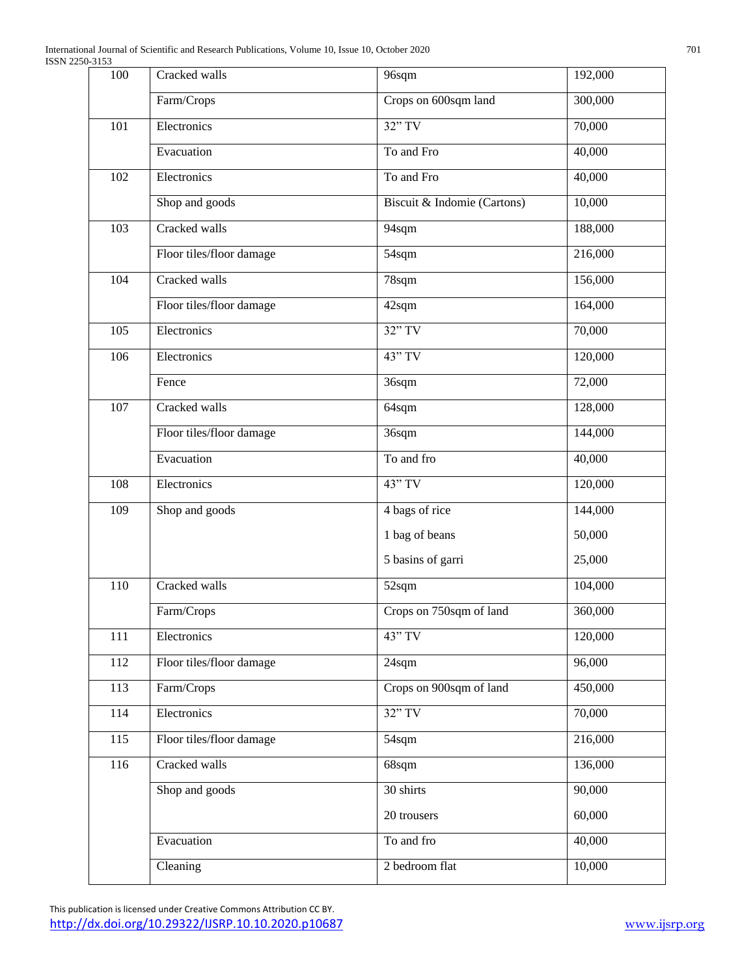| 100              | Cracked walls            | 96sqm                       | 192,000 |
|------------------|--------------------------|-----------------------------|---------|
|                  | Farm/Crops               | Crops on 600sqm land        | 300,000 |
| 101              | Electronics              | $32"$ TV                    | 70,000  |
|                  | Evacuation               | To and Fro                  | 40,000  |
| 102              | Electronics              | To and Fro                  | 40,000  |
|                  | Shop and goods           | Biscuit & Indomie (Cartons) | 10,000  |
| 103              | Cracked walls            | 94sqm                       | 188,000 |
|                  | Floor tiles/floor damage | 54sqm                       | 216,000 |
| 104              | Cracked walls            | 78sqm                       | 156,000 |
|                  | Floor tiles/floor damage | 42sqm                       | 164,000 |
| 105              | Electronics              | $32"$ TV                    | 70,000  |
| 106              | Electronics              | 43" TV                      | 120,000 |
|                  | Fence                    | 36sqm                       | 72,000  |
| 107              | Cracked walls            | 64sqm                       | 128,000 |
|                  | Floor tiles/floor damage | 36sqm                       | 144,000 |
|                  | Evacuation               | To and fro                  | 40,000  |
| 108              | Electronics              | 43" TV                      | 120,000 |
| 109              | Shop and goods           | 4 bags of rice              | 144,000 |
|                  |                          | 1 bag of beans              | 50,000  |
|                  |                          | 5 basins of garri           | 25,000  |
| 110              | Cracked walls            | 52sqm                       | 104,000 |
|                  | Farm/Crops               | Crops on 750sqm of land     | 360,000 |
| 111              | Electronics              | 43" TV                      | 120,000 |
| 112              | Floor tiles/floor damage | 24sqm                       | 96,000  |
| 113              | Farm/Crops               | Crops on 900sqm of land     | 450,000 |
| 114              | Electronics              | 32" TV                      | 70,000  |
| $\overline{115}$ | Floor tiles/floor damage | 54sqm                       | 216,000 |
| 116              | Cracked walls            | 68sqm                       | 136,000 |
|                  | Shop and goods           | 30 shirts                   | 90,000  |
|                  |                          | 20 trousers                 | 60,000  |
|                  | Evacuation               | To and fro                  | 40,000  |
|                  | Cleaning                 | 2 bedroom flat              | 10,000  |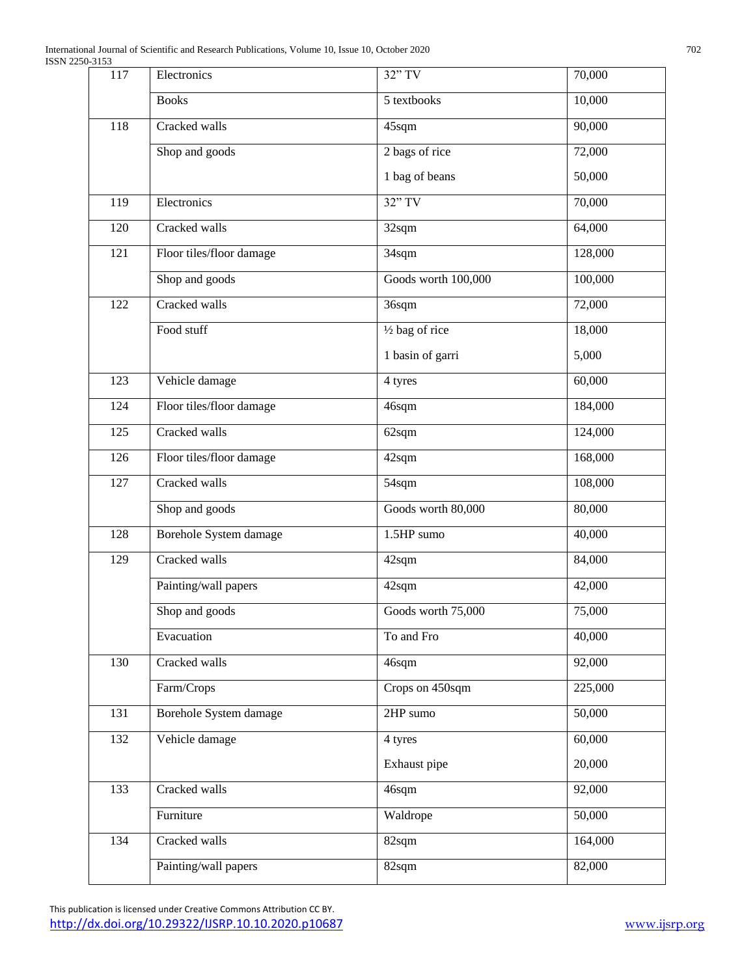| 117 | Electronics              | 32" TV              | 70,000  |
|-----|--------------------------|---------------------|---------|
|     | <b>Books</b>             | 5 textbooks         | 10,000  |
| 118 | Cracked walls            | 45sqm               | 90,000  |
|     | Shop and goods           | 2 bags of rice      | 72,000  |
|     |                          | 1 bag of beans      | 50,000  |
| 119 | Electronics              | $32"$ TV            | 70,000  |
| 120 | Cracked walls            | 32sqm               | 64,000  |
| 121 | Floor tiles/floor damage | 34sqm               | 128,000 |
|     | Shop and goods           | Goods worth 100,000 | 100,000 |
| 122 | Cracked walls            | 36sqm               | 72,000  |
|     | Food stuff               | 1/2 bag of rice     | 18,000  |
|     |                          | 1 basin of garri    | 5,000   |
| 123 | Vehicle damage           | 4 tyres             | 60,000  |
| 124 | Floor tiles/floor damage | 46sqm               | 184,000 |
| 125 | Cracked walls            | 62sqm               | 124,000 |
| 126 | Floor tiles/floor damage | 42sqm               | 168,000 |
| 127 | Cracked walls            | 54sqm               | 108,000 |
|     | Shop and goods           | Goods worth 80,000  | 80,000  |
| 128 | Borehole System damage   | 1.5HP sumo          | 40,000  |
| 129 | Cracked walls            | 42sqm               | 84,000  |
|     | Painting/wall papers     | 42sqm               | 42,000  |
|     | Shop and goods           | Goods worth 75,000  | 75,000  |
|     | Evacuation               | To and Fro          | 40,000  |
| 130 | Cracked walls            | 46sqm               | 92,000  |
|     | Farm/Crops               | Crops on 450sqm     | 225,000 |
| 131 | Borehole System damage   | 2HP sumo            | 50,000  |
| 132 | Vehicle damage           | 4 tyres             | 60,000  |
|     |                          | Exhaust pipe        | 20,000  |
| 133 | Cracked walls            | 46sqm               | 92,000  |
|     | Furniture                | Waldrope            | 50,000  |
| 134 | Cracked walls            | 82sqm               | 164,000 |
|     | Painting/wall papers     | 82sqm               | 82,000  |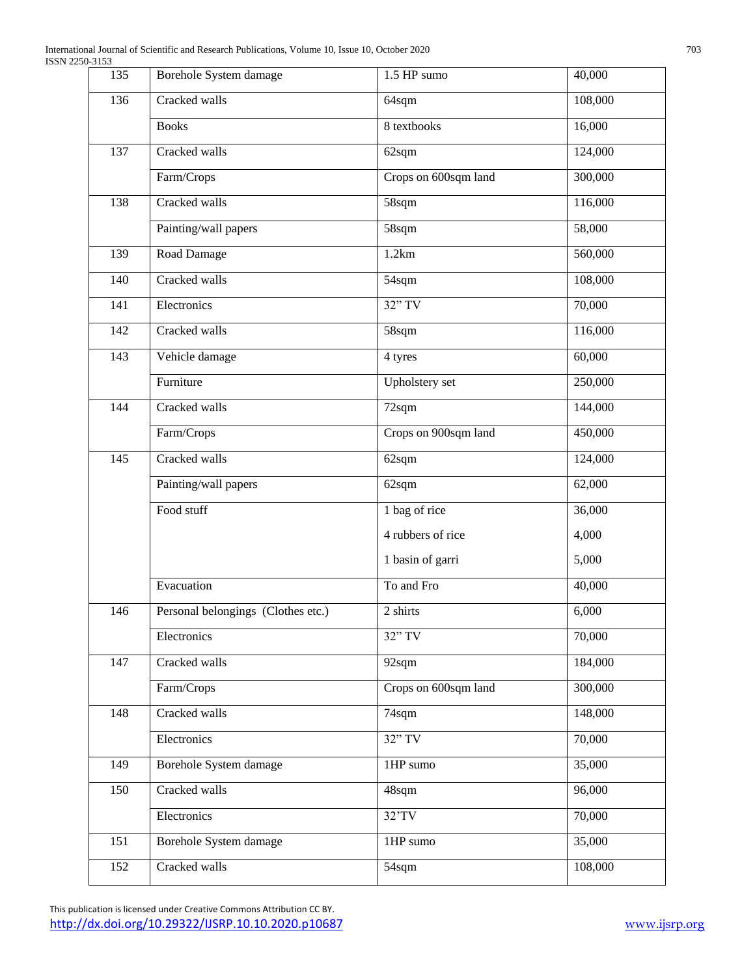| 135 | Borehole System damage             | 1.5 HP sumo          | 40,000  |
|-----|------------------------------------|----------------------|---------|
| 136 | Cracked walls                      | 64sqm                | 108,000 |
|     | <b>Books</b>                       | 8 textbooks          | 16,000  |
| 137 | Cracked walls                      | 62sqm                | 124,000 |
|     | Farm/Crops                         | Crops on 600sqm land | 300,000 |
| 138 | Cracked walls                      | 58sqm                | 116,000 |
|     | Painting/wall papers               | 58sqm                | 58,000  |
| 139 | Road Damage                        | 1.2km                | 560,000 |
| 140 | Cracked walls                      | $\overline{5}$ 4sqm  | 108,000 |
| 141 | Electronics                        | $32"$ TV             | 70,000  |
| 142 | Cracked walls                      | 58sqm                | 116,000 |
| 143 | Vehicle damage                     | 4 tyres              | 60,000  |
|     | Furniture                          | Upholstery set       | 250,000 |
| 144 | Cracked walls                      | 72sqm                | 144,000 |
|     | Farm/Crops                         | Crops on 900sqm land | 450,000 |
| 145 | Cracked walls                      | 62sqm                | 124,000 |
|     | Painting/wall papers               | 62sqm                | 62,000  |
|     | Food stuff                         | 1 bag of rice        | 36,000  |
|     |                                    | 4 rubbers of rice    | 4,000   |
|     |                                    | 1 basin of garri     | 5,000   |
|     | Evacuation                         | To and Fro           | 40,000  |
| 146 | Personal belongings (Clothes etc.) | 2 shirts             | 6,000   |
|     | Electronics                        | 32" TV               | 70,000  |
| 147 | Cracked walls                      | 92sqm                | 184,000 |
|     | Farm/Crops                         | Crops on 600sqm land | 300,000 |
| 148 | Cracked walls                      | 74sqm                | 148,000 |
|     | Electronics                        | 32" TV               | 70,000  |
| 149 | Borehole System damage             | 1HP sumo             | 35,000  |
| 150 | Cracked walls                      | 48sqm                | 96,000  |
|     | Electronics                        | $32'$ TV             | 70,000  |
| 151 | Borehole System damage             | 1HP sumo             | 35,000  |
| 152 | Cracked walls                      | 54sqm                | 108,000 |